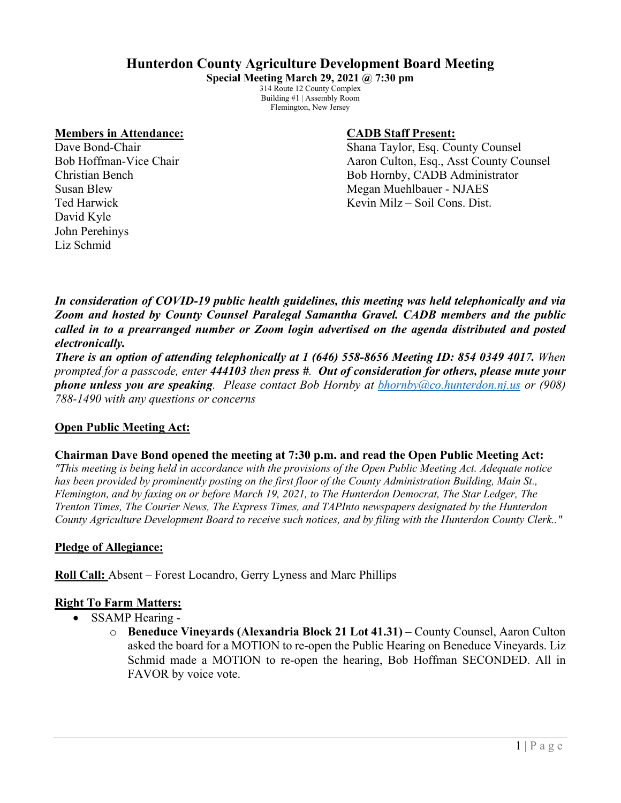# **Hunterdon County Agriculture Development Board Meeting**

**Special Meeting March 29, 2021 @ 7:30 pm** 314 Route 12 County Complex Building #1 | Assembly Room Flemington, New Jersey

#### **Members in Attendance: CADB Staff Present:**

David Kyle John Perehinys Liz Schmid

Dave Bond-Chair **Shana Taylor, Esq. County Counsel** Bob Hoffman-Vice Chair Aaron Culton, Esq., Asst County Counsel Christian Bench Bob Hornby, CADB Administrator Susan Blew Megan Muehlbauer - NJAES Ted Harwick **The Harmick** Constant Constant Constant Constant Constant Constant Constant Constant Constant Constant Constant Constant Constant Constant Constant Constant Constant Constant Constant Constant Constant Constan

*In consideration of COVID-19 public health guidelines, this meeting was held telephonically and via Zoom and hosted by County Counsel Paralegal Samantha Gravel. CADB members and the public called in to a prearranged number or Zoom login advertised on the agenda distributed and posted electronically.*

*There is an option of attending telephonically at 1 (646) 558-8656 Meeting ID: 854 0349 4017. When prompted for a passcode, enter 444103 then press #. Out of consideration for others, please mute your phone unless you are speaking. Please contact Bob Hornby at [bhornby@co.hunterdon.nj.us](mailto:bhornby@co.hunterdon.nj.us) or (908) 788-1490 with any questions or concerns* 

### **Open Public Meeting Act:**

### **Chairman Dave Bond opened the meeting at 7:30 p.m. and read the Open Public Meeting Act:**

*"This meeting is being held in accordance with the provisions of the Open Public Meeting Act. Adequate notice has been provided by prominently posting on the first floor of the County Administration Building, Main St., Flemington, and by faxing on or before March 19, 2021, to The Hunterdon Democrat, The Star Ledger, The Trenton Times, The Courier News, The Express Times, and TAPInto newspapers designated by the Hunterdon County Agriculture Development Board to receive such notices, and by filing with the Hunterdon County Clerk.."*

### **Pledge of Allegiance:**

**Roll Call:** Absent – Forest Locandro, Gerry Lyness and Marc Phillips

# **Right To Farm Matters:**

- SSAMP Hearing
	- o **Beneduce Vineyards (Alexandria Block 21 Lot 41.31)** County Counsel, Aaron Culton asked the board for a MOTION to re-open the Public Hearing on Beneduce Vineyards. Liz Schmid made a MOTION to re-open the hearing, Bob Hoffman SECONDED. All in FAVOR by voice vote.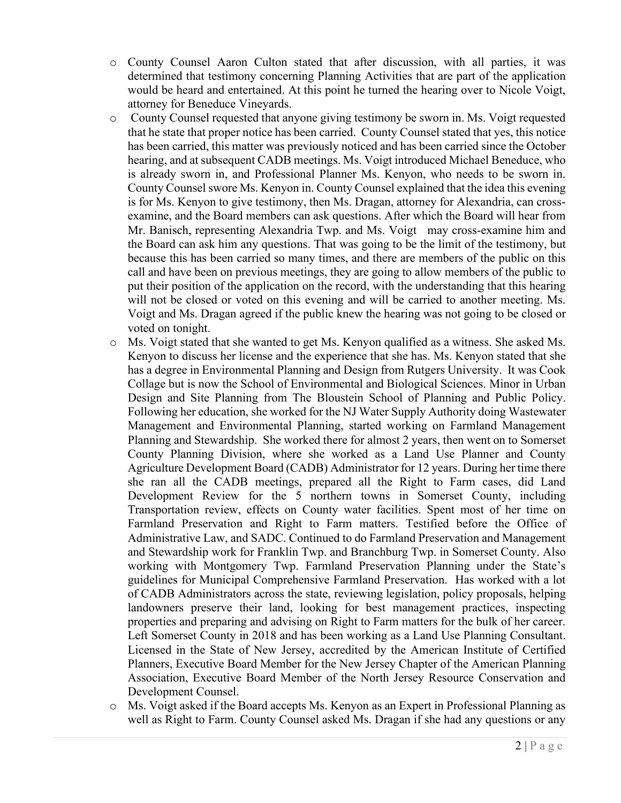- o County Counsel Aaron Culton stated that after discussion, with all parties, it was determined that testimony concerning Planning Activities that are part of the application would be heard and entertained. At this point he turned the hearing over to Nicole Voigt, attorney for Beneduce Vineyards.
- o County Counsel requested that anyone giving testimony be sworn in. Ms. Voigt requested that he state that proper notice has been carried. County Counsel stated that yes, this notice has been carried, this matter was previously noticed and has been carried since the October hearing, and at subsequent CADB meetings. Ms. Voigt introduced Michael Beneduce, who is already sworn in, and Professional Planner Ms. Kenyon, who needs to be sworn in. County Counsel swore Ms. Kenyon in. County Counsel explained that the idea this evening is for Ms. Kenyon to give testimony, then Ms. Dragan, attorney for Alexandria, can crossexamine, and the Board members can ask questions. After which the Board will hear from Mr. Banisch, representing Alexandria Twp. and Ms. Voigt may cross-examine him and the Board can ask him any questions. That was going to be the limit of the testimony, but because this has been carried so many times, and there are members of the public on this call and have been on previous meetings, they are going to allow members of the public to put their position of the application on the record, with the understanding that this hearing will not be closed or voted on this evening and will be carried to another meeting. Ms. Voigt and Ms. Dragan agreed if the public knew the hearing was not going to be closed or voted on tonight.
- o Ms. Voigt stated that she wanted to get Ms. Kenyon qualified as a witness. She asked Ms. Kenyon to discuss her license and the experience that she has. Ms. Kenyon stated that she has a degree in Environmental Planning and Design from Rutgers University. It was Cook Collage but is now the School of Environmental and Biological Sciences. Minor in Urban Design and Site Planning from The Bloustein School of Planning and Public Policy. Following her education, she worked for the NJ Water Supply Authority doing Wastewater Management and Environmental Planning, started working on Farmland Management Planning and Stewardship. She worked there for almost 2 years, then went on to Somerset County Planning Division, where she worked as a Land Use Planner and County Agriculture Development Board (CADB) Administrator for 12 years. During her time there she ran all the CADB meetings, prepared all the Right to Farm cases, did Land Development Review for the 5 northern towns in Somerset County, including Transportation review, effects on County water facilities. Spent most of her time on Farmland Preservation and Right to Farm matters. Testified before the Office of Administrative Law, and SADC. Continued to do Farmland Preservation and Management and Stewardship work for Franklin Twp. and Branchburg Twp. in Somerset County. Also working with Montgomery Twp. Farmland Preservation Planning under the State's guidelines for Municipal Comprehensive Farmland Preservation. Has worked with a lot of CADB Administrators across the state, reviewing legislation, policy proposals, helping landowners preserve their land, looking for best management practices, inspecting properties and preparing and advising on Right to Farm matters for the bulk of her career. Left Somerset County in 2018 and has been working as a Land Use Planning Consultant. Licensed in the State of New Jersey, accredited by the American Institute of Certified Planners, Executive Board Member for the New Jersey Chapter of the American Planning Association, Executive Board Member of the North Jersey Resource Conservation and Development Counsel.
- o Ms. Voigt asked if the Board accepts Ms. Kenyon as an Expert in Professional Planning as well as Right to Farm. County Counsel asked Ms. Dragan if she had any questions or any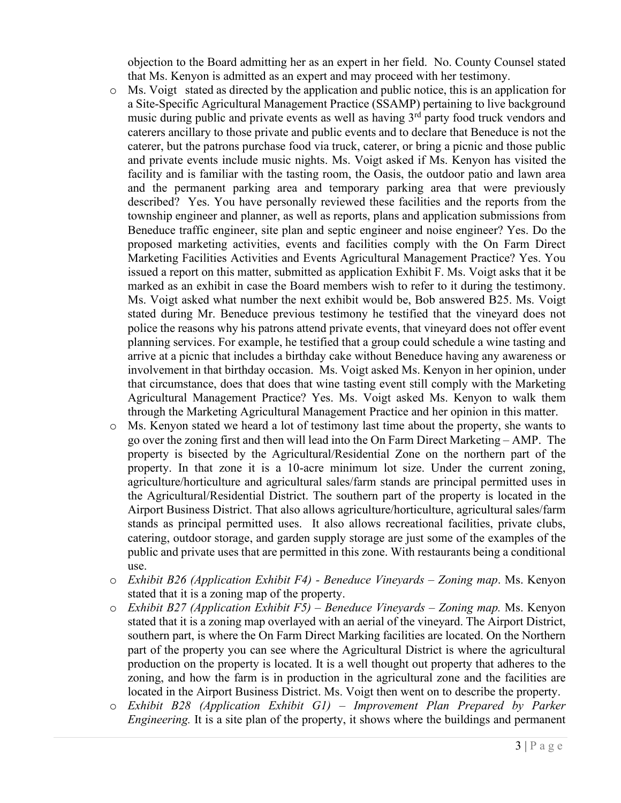objection to the Board admitting her as an expert in her field. No. County Counsel stated that Ms. Kenyon is admitted as an expert and may proceed with her testimony.

- o Ms. Voigt stated as directed by the application and public notice, this is an application for a Site-Specific Agricultural Management Practice (SSAMP) pertaining to live background music during public and private events as well as having 3<sup>rd</sup> party food truck vendors and caterers ancillary to those private and public events and to declare that Beneduce is not the caterer, but the patrons purchase food via truck, caterer, or bring a picnic and those public and private events include music nights. Ms. Voigt asked if Ms. Kenyon has visited the facility and is familiar with the tasting room, the Oasis, the outdoor patio and lawn area and the permanent parking area and temporary parking area that were previously described? Yes. You have personally reviewed these facilities and the reports from the township engineer and planner, as well as reports, plans and application submissions from Beneduce traffic engineer, site plan and septic engineer and noise engineer? Yes. Do the proposed marketing activities, events and facilities comply with the On Farm Direct Marketing Facilities Activities and Events Agricultural Management Practice? Yes. You issued a report on this matter, submitted as application Exhibit F. Ms. Voigt asks that it be marked as an exhibit in case the Board members wish to refer to it during the testimony. Ms. Voigt asked what number the next exhibit would be, Bob answered B25. Ms. Voigt stated during Mr. Beneduce previous testimony he testified that the vineyard does not police the reasons why his patrons attend private events, that vineyard does not offer event planning services. For example, he testified that a group could schedule a wine tasting and arrive at a picnic that includes a birthday cake without Beneduce having any awareness or involvement in that birthday occasion. Ms. Voigt asked Ms. Kenyon in her opinion, under that circumstance, does that does that wine tasting event still comply with the Marketing Agricultural Management Practice? Yes. Ms. Voigt asked Ms. Kenyon to walk them through the Marketing Agricultural Management Practice and her opinion in this matter.
- o Ms. Kenyon stated we heard a lot of testimony last time about the property, she wants to go over the zoning first and then will lead into the On Farm Direct Marketing – AMP. The property is bisected by the Agricultural/Residential Zone on the northern part of the property. In that zone it is a 10-acre minimum lot size. Under the current zoning, agriculture/horticulture and agricultural sales/farm stands are principal permitted uses in the Agricultural/Residential District. The southern part of the property is located in the Airport Business District. That also allows agriculture/horticulture, agricultural sales/farm stands as principal permitted uses. It also allows recreational facilities, private clubs, catering, outdoor storage, and garden supply storage are just some of the examples of the public and private uses that are permitted in this zone. With restaurants being a conditional use.
- o *Exhibit B26 (Application Exhibit F4) - Beneduce Vineyards – Zoning map*. Ms. Kenyon stated that it is a zoning map of the property.
- o *Exhibit B27 (Application Exhibit F5) – Beneduce Vineyards – Zoning map.* Ms. Kenyon stated that it is a zoning map overlayed with an aerial of the vineyard. The Airport District, southern part, is where the On Farm Direct Marking facilities are located. On the Northern part of the property you can see where the Agricultural District is where the agricultural production on the property is located. It is a well thought out property that adheres to the zoning, and how the farm is in production in the agricultural zone and the facilities are located in the Airport Business District. Ms. Voigt then went on to describe the property.
- o *Exhibit B28 (Application Exhibit G1) – Improvement Plan Prepared by Parker Engineering.* It is a site plan of the property, it shows where the buildings and permanent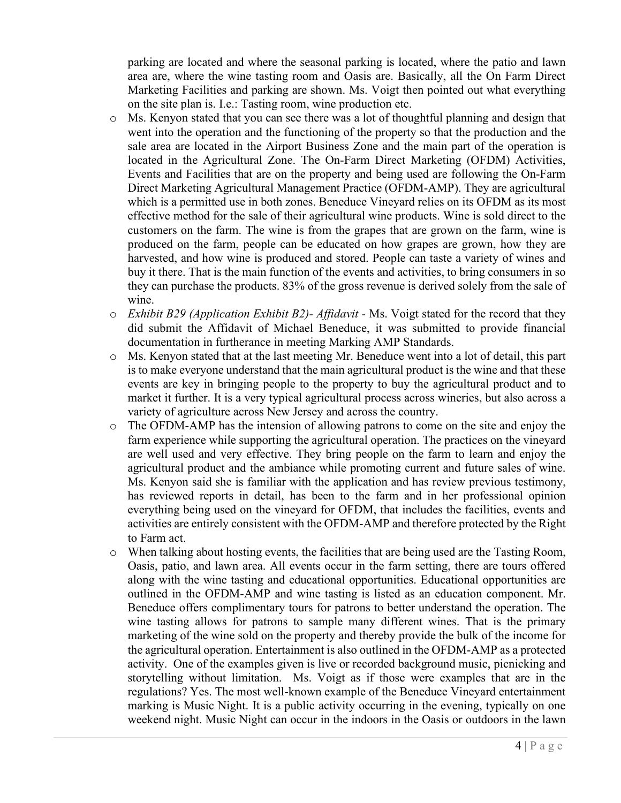parking are located and where the seasonal parking is located, where the patio and lawn area are, where the wine tasting room and Oasis are. Basically, all the On Farm Direct Marketing Facilities and parking are shown. Ms. Voigt then pointed out what everything on the site plan is. I.e.: Tasting room, wine production etc.

- o Ms. Kenyon stated that you can see there was a lot of thoughtful planning and design that went into the operation and the functioning of the property so that the production and the sale area are located in the Airport Business Zone and the main part of the operation is located in the Agricultural Zone. The On-Farm Direct Marketing (OFDM) Activities, Events and Facilities that are on the property and being used are following the On-Farm Direct Marketing Agricultural Management Practice (OFDM-AMP). They are agricultural which is a permitted use in both zones. Beneduce Vineyard relies on its OFDM as its most effective method for the sale of their agricultural wine products. Wine is sold direct to the customers on the farm. The wine is from the grapes that are grown on the farm, wine is produced on the farm, people can be educated on how grapes are grown, how they are harvested, and how wine is produced and stored. People can taste a variety of wines and buy it there. That is the main function of the events and activities, to bring consumers in so they can purchase the products. 83% of the gross revenue is derived solely from the sale of wine.
- o *Exhibit B29 (Application Exhibit B2)- Affidavit -* Ms. Voigt stated for the record that they did submit the Affidavit of Michael Beneduce, it was submitted to provide financial documentation in furtherance in meeting Marking AMP Standards.
- o Ms. Kenyon stated that at the last meeting Mr. Beneduce went into a lot of detail, this part is to make everyone understand that the main agricultural product is the wine and that these events are key in bringing people to the property to buy the agricultural product and to market it further. It is a very typical agricultural process across wineries, but also across a variety of agriculture across New Jersey and across the country.
- o The OFDM-AMP has the intension of allowing patrons to come on the site and enjoy the farm experience while supporting the agricultural operation. The practices on the vineyard are well used and very effective. They bring people on the farm to learn and enjoy the agricultural product and the ambiance while promoting current and future sales of wine. Ms. Kenyon said she is familiar with the application and has review previous testimony, has reviewed reports in detail, has been to the farm and in her professional opinion everything being used on the vineyard for OFDM, that includes the facilities, events and activities are entirely consistent with the OFDM-AMP and therefore protected by the Right to Farm act.
- o When talking about hosting events, the facilities that are being used are the Tasting Room, Oasis, patio, and lawn area. All events occur in the farm setting, there are tours offered along with the wine tasting and educational opportunities. Educational opportunities are outlined in the OFDM-AMP and wine tasting is listed as an education component. Mr. Beneduce offers complimentary tours for patrons to better understand the operation. The wine tasting allows for patrons to sample many different wines. That is the primary marketing of the wine sold on the property and thereby provide the bulk of the income for the agricultural operation. Entertainment is also outlined in the OFDM-AMP as a protected activity. One of the examples given is live or recorded background music, picnicking and storytelling without limitation. Ms. Voigt as if those were examples that are in the regulations? Yes. The most well-known example of the Beneduce Vineyard entertainment marking is Music Night. It is a public activity occurring in the evening, typically on one weekend night. Music Night can occur in the indoors in the Oasis or outdoors in the lawn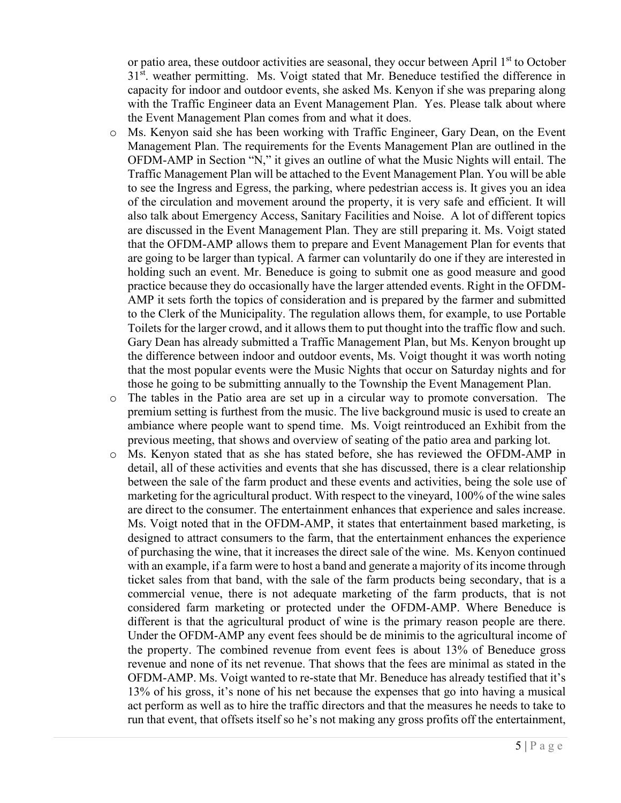or patio area, these outdoor activities are seasonal, they occur between April 1<sup>st</sup> to October  $31<sup>st</sup>$ . weather permitting. Ms. Voigt stated that Mr. Beneduce testified the difference in capacity for indoor and outdoor events, she asked Ms. Kenyon if she was preparing along with the Traffic Engineer data an Event Management Plan. Yes. Please talk about where the Event Management Plan comes from and what it does.

- o Ms. Kenyon said she has been working with Traffic Engineer, Gary Dean, on the Event Management Plan. The requirements for the Events Management Plan are outlined in the OFDM-AMP in Section "N," it gives an outline of what the Music Nights will entail. The Traffic Management Plan will be attached to the Event Management Plan. You will be able to see the Ingress and Egress, the parking, where pedestrian access is. It gives you an idea of the circulation and movement around the property, it is very safe and efficient. It will also talk about Emergency Access, Sanitary Facilities and Noise. A lot of different topics are discussed in the Event Management Plan. They are still preparing it. Ms. Voigt stated that the OFDM-AMP allows them to prepare and Event Management Plan for events that are going to be larger than typical. A farmer can voluntarily do one if they are interested in holding such an event. Mr. Beneduce is going to submit one as good measure and good practice because they do occasionally have the larger attended events. Right in the OFDM-AMP it sets forth the topics of consideration and is prepared by the farmer and submitted to the Clerk of the Municipality. The regulation allows them, for example, to use Portable Toilets for the larger crowd, and it allows them to put thought into the traffic flow and such. Gary Dean has already submitted a Traffic Management Plan, but Ms. Kenyon brought up the difference between indoor and outdoor events, Ms. Voigt thought it was worth noting that the most popular events were the Music Nights that occur on Saturday nights and for those he going to be submitting annually to the Township the Event Management Plan.
- o The tables in the Patio area are set up in a circular way to promote conversation. The premium setting is furthest from the music. The live background music is used to create an ambiance where people want to spend time. Ms. Voigt reintroduced an Exhibit from the previous meeting, that shows and overview of seating of the patio area and parking lot.
- o Ms. Kenyon stated that as she has stated before, she has reviewed the OFDM-AMP in detail, all of these activities and events that she has discussed, there is a clear relationship between the sale of the farm product and these events and activities, being the sole use of marketing for the agricultural product. With respect to the vineyard, 100% of the wine sales are direct to the consumer. The entertainment enhances that experience and sales increase. Ms. Voigt noted that in the OFDM-AMP, it states that entertainment based marketing, is designed to attract consumers to the farm, that the entertainment enhances the experience of purchasing the wine, that it increases the direct sale of the wine. Ms. Kenyon continued with an example, if a farm were to host a band and generate a majority of its income through ticket sales from that band, with the sale of the farm products being secondary, that is a commercial venue, there is not adequate marketing of the farm products, that is not considered farm marketing or protected under the OFDM-AMP. Where Beneduce is different is that the agricultural product of wine is the primary reason people are there. Under the OFDM-AMP any event fees should be de minimis to the agricultural income of the property. The combined revenue from event fees is about 13% of Beneduce gross revenue and none of its net revenue. That shows that the fees are minimal as stated in the OFDM-AMP. Ms. Voigt wanted to re-state that Mr. Beneduce has already testified that it's 13% of his gross, it's none of his net because the expenses that go into having a musical act perform as well as to hire the traffic directors and that the measures he needs to take to run that event, that offsets itself so he's not making any gross profits off the entertainment,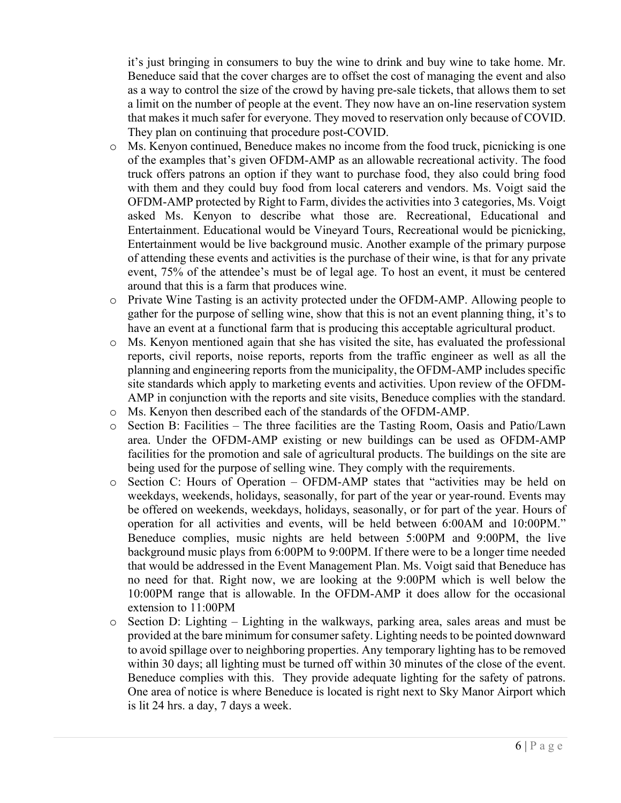it's just bringing in consumers to buy the wine to drink and buy wine to take home. Mr. Beneduce said that the cover charges are to offset the cost of managing the event and also as a way to control the size of the crowd by having pre-sale tickets, that allows them to set a limit on the number of people at the event. They now have an on-line reservation system that makes it much safer for everyone. They moved to reservation only because of COVID. They plan on continuing that procedure post-COVID.

- $\circ$  Ms. Kenyon continued, Beneduce makes no income from the food truck, picnicking is one of the examples that's given OFDM-AMP as an allowable recreational activity. The food truck offers patrons an option if they want to purchase food, they also could bring food with them and they could buy food from local caterers and vendors. Ms. Voigt said the OFDM-AMP protected by Right to Farm, divides the activities into 3 categories, Ms. Voigt asked Ms. Kenyon to describe what those are. Recreational, Educational and Entertainment. Educational would be Vineyard Tours, Recreational would be picnicking, Entertainment would be live background music. Another example of the primary purpose of attending these events and activities is the purchase of their wine, is that for any private event, 75% of the attendee's must be of legal age. To host an event, it must be centered around that this is a farm that produces wine.
- o Private Wine Tasting is an activity protected under the OFDM-AMP. Allowing people to gather for the purpose of selling wine, show that this is not an event planning thing, it's to have an event at a functional farm that is producing this acceptable agricultural product.
- o Ms. Kenyon mentioned again that she has visited the site, has evaluated the professional reports, civil reports, noise reports, reports from the traffic engineer as well as all the planning and engineering reports from the municipality, the OFDM-AMP includes specific site standards which apply to marketing events and activities. Upon review of the OFDM-AMP in conjunction with the reports and site visits, Beneduce complies with the standard.
- o Ms. Kenyon then described each of the standards of the OFDM-AMP.
- o Section B: Facilities The three facilities are the Tasting Room, Oasis and Patio/Lawn area. Under the OFDM-AMP existing or new buildings can be used as OFDM-AMP facilities for the promotion and sale of agricultural products. The buildings on the site are being used for the purpose of selling wine. They comply with the requirements.
- o Section C: Hours of Operation OFDM-AMP states that "activities may be held on weekdays, weekends, holidays, seasonally, for part of the year or year-round. Events may be offered on weekends, weekdays, holidays, seasonally, or for part of the year. Hours of operation for all activities and events, will be held between 6:00AM and 10:00PM." Beneduce complies, music nights are held between 5:00PM and 9:00PM, the live background music plays from 6:00PM to 9:00PM. If there were to be a longer time needed that would be addressed in the Event Management Plan. Ms. Voigt said that Beneduce has no need for that. Right now, we are looking at the 9:00PM which is well below the 10:00PM range that is allowable. In the OFDM-AMP it does allow for the occasional extension to 11:00PM
- o Section D: Lighting Lighting in the walkways, parking area, sales areas and must be provided at the bare minimum for consumer safety. Lighting needs to be pointed downward to avoid spillage over to neighboring properties. Any temporary lighting has to be removed within 30 days; all lighting must be turned off within 30 minutes of the close of the event. Beneduce complies with this. They provide adequate lighting for the safety of patrons. One area of notice is where Beneduce is located is right next to Sky Manor Airport which is lit 24 hrs. a day, 7 days a week.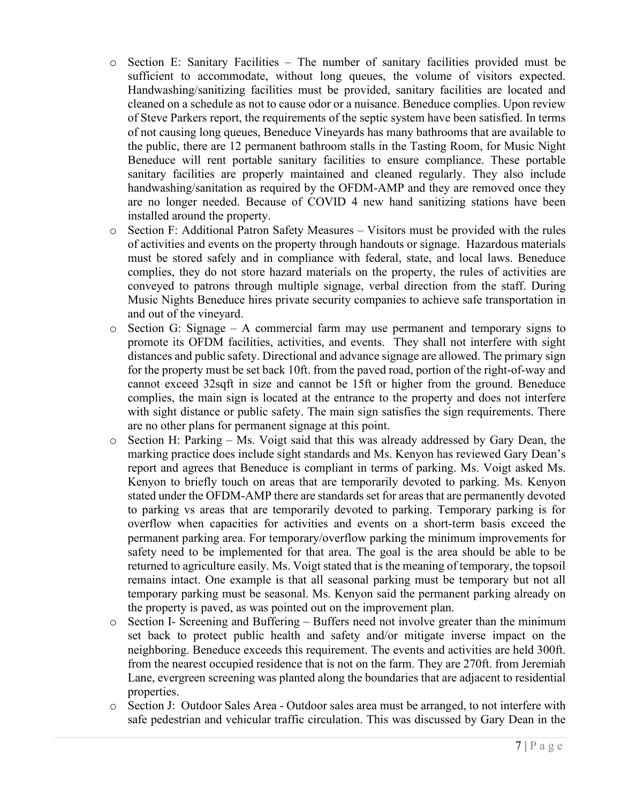- o Section E: Sanitary Facilities The number of sanitary facilities provided must be sufficient to accommodate, without long queues, the volume of visitors expected. Handwashing/sanitizing facilities must be provided, sanitary facilities are located and cleaned on a schedule as not to cause odor or a nuisance. Beneduce complies. Upon review of Steve Parkers report, the requirements of the septic system have been satisfied. In terms of not causing long queues, Beneduce Vineyards has many bathrooms that are available to the public, there are 12 permanent bathroom stalls in the Tasting Room, for Music Night Beneduce will rent portable sanitary facilities to ensure compliance. These portable sanitary facilities are properly maintained and cleaned regularly. They also include handwashing/sanitation as required by the OFDM-AMP and they are removed once they are no longer needed. Because of COVID 4 new hand sanitizing stations have been installed around the property.
- o Section F: Additional Patron Safety Measures Visitors must be provided with the rules of activities and events on the property through handouts or signage. Hazardous materials must be stored safely and in compliance with federal, state, and local laws. Beneduce complies, they do not store hazard materials on the property, the rules of activities are conveyed to patrons through multiple signage, verbal direction from the staff. During Music Nights Beneduce hires private security companies to achieve safe transportation in and out of the vineyard.
- o Section G: Signage A commercial farm may use permanent and temporary signs to promote its OFDM facilities, activities, and events. They shall not interfere with sight distances and public safety. Directional and advance signage are allowed. The primary sign for the property must be set back 10ft. from the paved road, portion of the right-of-way and cannot exceed 32sqft in size and cannot be 15ft or higher from the ground. Beneduce complies, the main sign is located at the entrance to the property and does not interfere with sight distance or public safety. The main sign satisfies the sign requirements. There are no other plans for permanent signage at this point.
- o Section H: Parking Ms. Voigt said that this was already addressed by Gary Dean, the marking practice does include sight standards and Ms. Kenyon has reviewed Gary Dean's report and agrees that Beneduce is compliant in terms of parking. Ms. Voigt asked Ms. Kenyon to briefly touch on areas that are temporarily devoted to parking. Ms. Kenyon stated under the OFDM-AMP there are standards set for areas that are permanently devoted to parking vs areas that are temporarily devoted to parking. Temporary parking is for overflow when capacities for activities and events on a short-term basis exceed the permanent parking area. For temporary/overflow parking the minimum improvements for safety need to be implemented for that area. The goal is the area should be able to be returned to agriculture easily. Ms. Voigt stated that is the meaning of temporary, the topsoil remains intact. One example is that all seasonal parking must be temporary but not all temporary parking must be seasonal. Ms. Kenyon said the permanent parking already on the property is paved, as was pointed out on the improvement plan.
- $\circ$  Section I- Screening and Buffering Buffers need not involve greater than the minimum set back to protect public health and safety and/or mitigate inverse impact on the neighboring. Beneduce exceeds this requirement. The events and activities are held 300ft. from the nearest occupied residence that is not on the farm. They are 270ft. from Jeremiah Lane, evergreen screening was planted along the boundaries that are adjacent to residential properties.
- o Section J: Outdoor Sales Area Outdoor sales area must be arranged, to not interfere with safe pedestrian and vehicular traffic circulation. This was discussed by Gary Dean in the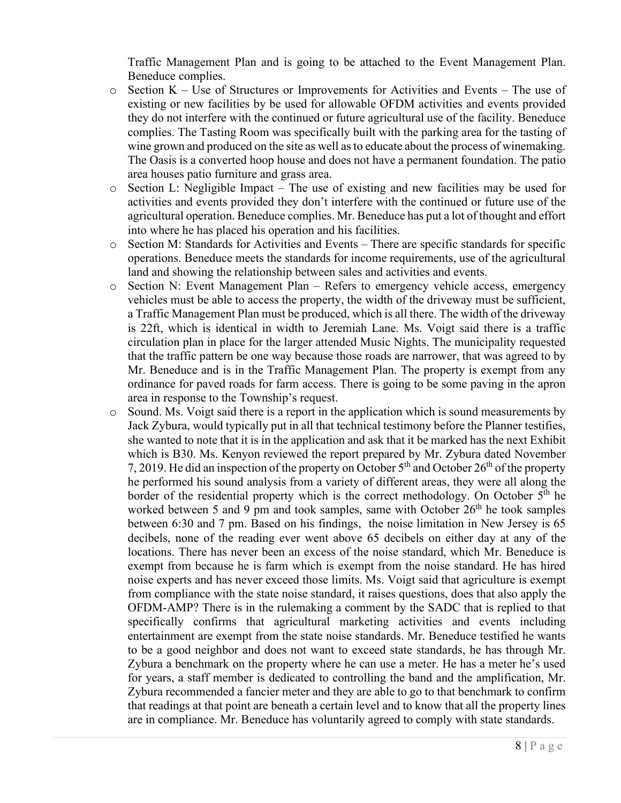Traffic Management Plan and is going to be attached to the Event Management Plan. Beneduce complies.

- $\circ$  Section K Use of Structures or Improvements for Activities and Events The use of existing or new facilities by be used for allowable OFDM activities and events provided they do not interfere with the continued or future agricultural use of the facility. Beneduce complies. The Tasting Room was specifically built with the parking area for the tasting of wine grown and produced on the site as well as to educate about the process of winemaking. The Oasis is a converted hoop house and does not have a permanent foundation. The patio area houses patio furniture and grass area.
- o Section L: Negligible Impact The use of existing and new facilities may be used for activities and events provided they don't interfere with the continued or future use of the agricultural operation. Beneduce complies. Mr. Beneduce has put a lot of thought and effort into where he has placed his operation and his facilities.
- o Section M: Standards for Activities and Events There are specific standards for specific operations. Beneduce meets the standards for income requirements, use of the agricultural land and showing the relationship between sales and activities and events.
- o Section N: Event Management Plan Refers to emergency vehicle access, emergency vehicles must be able to access the property, the width of the driveway must be sufficient, a Traffic Management Plan must be produced, which is all there. The width of the driveway is 22ft, which is identical in width to Jeremiah Lane. Ms. Voigt said there is a traffic circulation plan in place for the larger attended Music Nights. The municipality requested that the traffic pattern be one way because those roads are narrower, that was agreed to by Mr. Beneduce and is in the Traffic Management Plan. The property is exempt from any ordinance for paved roads for farm access. There is going to be some paving in the apron area in response to the Township's request.
- o Sound. Ms. Voigt said there is a report in the application which is sound measurements by Jack Zybura, would typically put in all that technical testimony before the Planner testifies, she wanted to note that it is in the application and ask that it be marked has the next Exhibit which is B30. Ms. Kenyon reviewed the report prepared by Mr. Zybura dated November 7, 2019. He did an inspection of the property on October  $5<sup>th</sup>$  and October  $26<sup>th</sup>$  of the property he performed his sound analysis from a variety of different areas, they were all along the border of the residential property which is the correct methodology. On October  $5<sup>th</sup>$  he worked between 5 and 9 pm and took samples, same with October  $26<sup>th</sup>$  he took samples between 6:30 and 7 pm. Based on his findings, the noise limitation in New Jersey is 65 decibels, none of the reading ever went above 65 decibels on either day at any of the locations. There has never been an excess of the noise standard, which Mr. Beneduce is exempt from because he is farm which is exempt from the noise standard. He has hired noise experts and has never exceed those limits. Ms. Voigt said that agriculture is exempt from compliance with the state noise standard, it raises questions, does that also apply the OFDM-AMP? There is in the rulemaking a comment by the SADC that is replied to that specifically confirms that agricultural marketing activities and events including entertainment are exempt from the state noise standards. Mr. Beneduce testified he wants to be a good neighbor and does not want to exceed state standards, he has through Mr. Zybura a benchmark on the property where he can use a meter. He has a meter he's used for years, a staff member is dedicated to controlling the band and the amplification, Mr. Zybura recommended a fancier meter and they are able to go to that benchmark to confirm that readings at that point are beneath a certain level and to know that all the property lines are in compliance. Mr. Beneduce has voluntarily agreed to comply with state standards.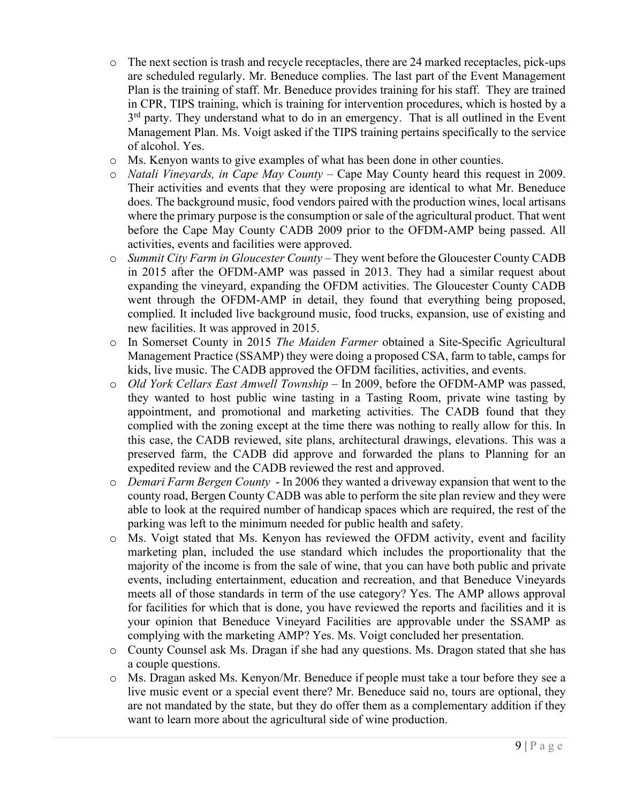- $\circ$  The next section is trash and recycle receptacles, there are 24 marked receptacles, pick-ups are scheduled regularly. Mr. Beneduce complies. The last part of the Event Management Plan is the training of staff. Mr. Beneduce provides training for his staff. They are trained in CPR, TIPS training, which is training for intervention procedures, which is hosted by a 3<sup>rd</sup> party. They understand what to do in an emergency. That is all outlined in the Event Management Plan. Ms. Voigt asked if the TIPS training pertains specifically to the service of alcohol. Yes.
- o Ms. Kenyon wants to give examples of what has been done in other counties.
- o *Natali Vineyards, in Cape May County –* Cape May County heard this request in 2009. Their activities and events that they were proposing are identical to what Mr. Beneduce does. The background music, food vendors paired with the production wines, local artisans where the primary purpose is the consumption or sale of the agricultural product. That went before the Cape May County CADB 2009 prior to the OFDM-AMP being passed. All activities, events and facilities were approved.
- o *Summit City Farm in Gloucester County* They went before the Gloucester County CADB in 2015 after the OFDM-AMP was passed in 2013. They had a similar request about expanding the vineyard, expanding the OFDM activities. The Gloucester County CADB went through the OFDM-AMP in detail, they found that everything being proposed, complied. It included live background music, food trucks, expansion, use of existing and new facilities. It was approved in 2015.
- o In Somerset County in 2015 *The Maiden Farmer* obtained a Site-Specific Agricultural Management Practice (SSAMP) they were doing a proposed CSA, farm to table, camps for kids, live music. The CADB approved the OFDM facilities, activities, and events.
- o *Old York Cellars East Amwell Township –* In 2009, before the OFDM-AMP was passed, they wanted to host public wine tasting in a Tasting Room, private wine tasting by appointment, and promotional and marketing activities. The CADB found that they complied with the zoning except at the time there was nothing to really allow for this. In this case, the CADB reviewed, site plans, architectural drawings, elevations. This was a preserved farm, the CADB did approve and forwarded the plans to Planning for an expedited review and the CADB reviewed the rest and approved.
- o *Demari Farm Bergen County* In 2006 they wanted a driveway expansion that went to the county road, Bergen County CADB was able to perform the site plan review and they were able to look at the required number of handicap spaces which are required, the rest of the parking was left to the minimum needed for public health and safety.
- o Ms. Voigt stated that Ms. Kenyon has reviewed the OFDM activity, event and facility marketing plan, included the use standard which includes the proportionality that the majority of the income is from the sale of wine, that you can have both public and private events, including entertainment, education and recreation, and that Beneduce Vineyards meets all of those standards in term of the use category? Yes. The AMP allows approval for facilities for which that is done, you have reviewed the reports and facilities and it is your opinion that Beneduce Vineyard Facilities are approvable under the SSAMP as complying with the marketing AMP? Yes. Ms. Voigt concluded her presentation.
- o County Counsel ask Ms. Dragan if she had any questions. Ms. Dragon stated that she has a couple questions.
- o Ms. Dragan asked Ms. Kenyon/Mr. Beneduce if people must take a tour before they see a live music event or a special event there? Mr. Beneduce said no, tours are optional, they are not mandated by the state, but they do offer them as a complementary addition if they want to learn more about the agricultural side of wine production.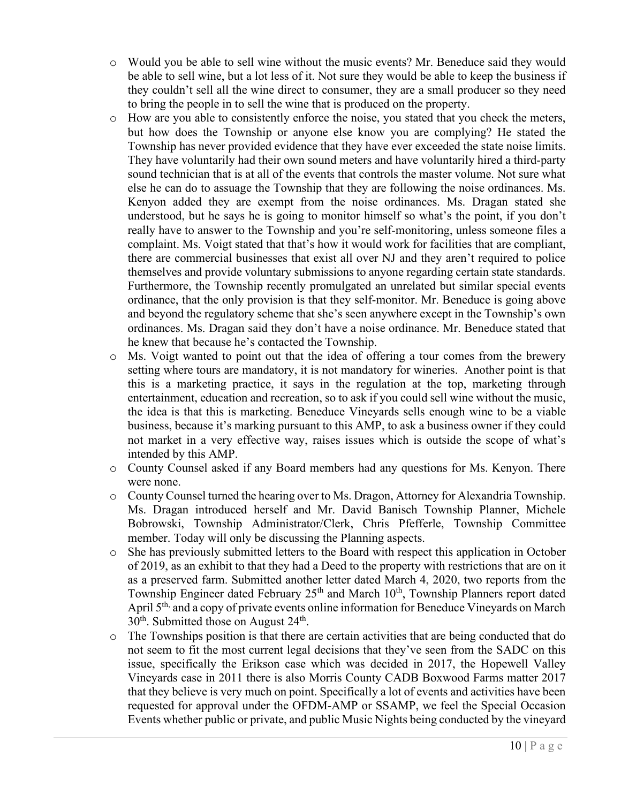- o Would you be able to sell wine without the music events? Mr. Beneduce said they would be able to sell wine, but a lot less of it. Not sure they would be able to keep the business if they couldn't sell all the wine direct to consumer, they are a small producer so they need to bring the people in to sell the wine that is produced on the property.
- o How are you able to consistently enforce the noise, you stated that you check the meters, but how does the Township or anyone else know you are complying? He stated the Township has never provided evidence that they have ever exceeded the state noise limits. They have voluntarily had their own sound meters and have voluntarily hired a third-party sound technician that is at all of the events that controls the master volume. Not sure what else he can do to assuage the Township that they are following the noise ordinances. Ms. Kenyon added they are exempt from the noise ordinances. Ms. Dragan stated she understood, but he says he is going to monitor himself so what's the point, if you don't really have to answer to the Township and you're self-monitoring, unless someone files a complaint. Ms. Voigt stated that that's how it would work for facilities that are compliant, there are commercial businesses that exist all over NJ and they aren't required to police themselves and provide voluntary submissions to anyone regarding certain state standards. Furthermore, the Township recently promulgated an unrelated but similar special events ordinance, that the only provision is that they self-monitor. Mr. Beneduce is going above and beyond the regulatory scheme that she's seen anywhere except in the Township's own ordinances. Ms. Dragan said they don't have a noise ordinance. Mr. Beneduce stated that he knew that because he's contacted the Township.
- o Ms. Voigt wanted to point out that the idea of offering a tour comes from the brewery setting where tours are mandatory, it is not mandatory for wineries. Another point is that this is a marketing practice, it says in the regulation at the top, marketing through entertainment, education and recreation, so to ask if you could sell wine without the music, the idea is that this is marketing. Beneduce Vineyards sells enough wine to be a viable business, because it's marking pursuant to this AMP, to ask a business owner if they could not market in a very effective way, raises issues which is outside the scope of what's intended by this AMP.
- o County Counsel asked if any Board members had any questions for Ms. Kenyon. There were none.
- o County Counsel turned the hearing over to Ms. Dragon, Attorney for Alexandria Township. Ms. Dragan introduced herself and Mr. David Banisch Township Planner, Michele Bobrowski, Township Administrator/Clerk, Chris Pfefferle, Township Committee member. Today will only be discussing the Planning aspects.
- o She has previously submitted letters to the Board with respect this application in October of 2019, as an exhibit to that they had a Deed to the property with restrictions that are on it as a preserved farm. Submitted another letter dated March 4, 2020, two reports from the Township Engineer dated February 25<sup>th</sup> and March 10<sup>th</sup>, Township Planners report dated April 5<sup>th,</sup> and a copy of private events online information for Beneduce Vineyards on March  $30<sup>th</sup>$ . Submitted those on August  $24<sup>th</sup>$ .
- o The Townships position is that there are certain activities that are being conducted that do not seem to fit the most current legal decisions that they've seen from the SADC on this issue, specifically the Erikson case which was decided in 2017, the Hopewell Valley Vineyards case in 2011 there is also Morris County CADB Boxwood Farms matter 2017 that they believe is very much on point. Specifically a lot of events and activities have been requested for approval under the OFDM-AMP or SSAMP, we feel the Special Occasion Events whether public or private, and public Music Nights being conducted by the vineyard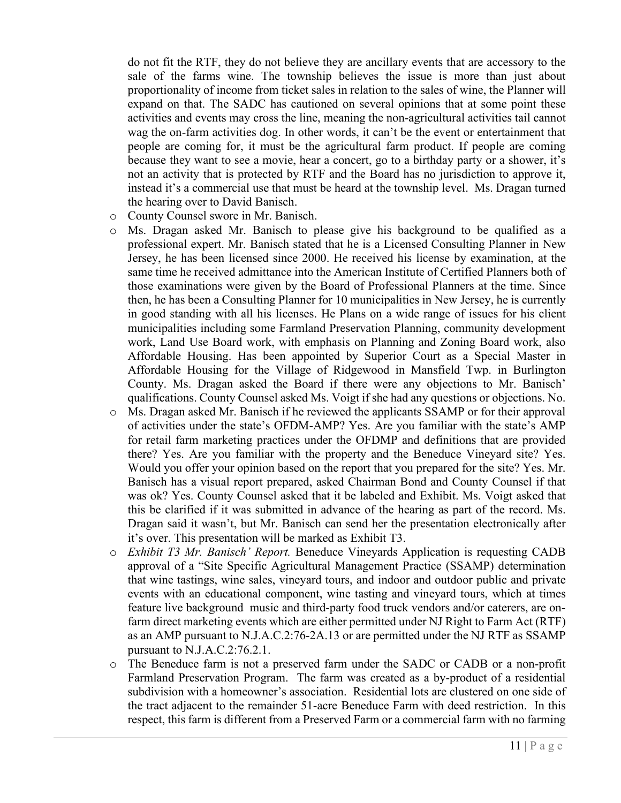do not fit the RTF, they do not believe they are ancillary events that are accessory to the sale of the farms wine. The township believes the issue is more than just about proportionality of income from ticket sales in relation to the sales of wine, the Planner will expand on that. The SADC has cautioned on several opinions that at some point these activities and events may cross the line, meaning the non-agricultural activities tail cannot wag the on-farm activities dog. In other words, it can't be the event or entertainment that people are coming for, it must be the agricultural farm product. If people are coming because they want to see a movie, hear a concert, go to a birthday party or a shower, it's not an activity that is protected by RTF and the Board has no jurisdiction to approve it, instead it's a commercial use that must be heard at the township level. Ms. Dragan turned the hearing over to David Banisch.

- o County Counsel swore in Mr. Banisch.
- o Ms. Dragan asked Mr. Banisch to please give his background to be qualified as a professional expert. Mr. Banisch stated that he is a Licensed Consulting Planner in New Jersey, he has been licensed since 2000. He received his license by examination, at the same time he received admittance into the American Institute of Certified Planners both of those examinations were given by the Board of Professional Planners at the time. Since then, he has been a Consulting Planner for 10 municipalities in New Jersey, he is currently in good standing with all his licenses. He Plans on a wide range of issues for his client municipalities including some Farmland Preservation Planning, community development work, Land Use Board work, with emphasis on Planning and Zoning Board work, also Affordable Housing. Has been appointed by Superior Court as a Special Master in Affordable Housing for the Village of Ridgewood in Mansfield Twp. in Burlington County. Ms. Dragan asked the Board if there were any objections to Mr. Banisch' qualifications. County Counsel asked Ms. Voigt if she had any questions or objections. No.
- o Ms. Dragan asked Mr. Banisch if he reviewed the applicants SSAMP or for their approval of activities under the state's OFDM-AMP? Yes. Are you familiar with the state's AMP for retail farm marketing practices under the OFDMP and definitions that are provided there? Yes. Are you familiar with the property and the Beneduce Vineyard site? Yes. Would you offer your opinion based on the report that you prepared for the site? Yes. Mr. Banisch has a visual report prepared, asked Chairman Bond and County Counsel if that was ok? Yes. County Counsel asked that it be labeled and Exhibit. Ms. Voigt asked that this be clarified if it was submitted in advance of the hearing as part of the record. Ms. Dragan said it wasn't, but Mr. Banisch can send her the presentation electronically after it's over. This presentation will be marked as Exhibit T3.
- o *Exhibit T3 Mr. Banisch' Report.* Beneduce Vineyards Application is requesting CADB approval of a "Site Specific Agricultural Management Practice (SSAMP) determination that wine tastings, wine sales, vineyard tours, and indoor and outdoor public and private events with an educational component, wine tasting and vineyard tours, which at times feature live background music and third-party food truck vendors and/or caterers, are onfarm direct marketing events which are either permitted under NJ Right to Farm Act (RTF) as an AMP pursuant to N.J.A.C.2:76-2A.13 or are permitted under the NJ RTF as SSAMP pursuant to N.J.A.C.2:76.2.1.
- o The Beneduce farm is not a preserved farm under the SADC or CADB or a non-profit Farmland Preservation Program. The farm was created as a by-product of a residential subdivision with a homeowner's association. Residential lots are clustered on one side of the tract adjacent to the remainder 51-acre Beneduce Farm with deed restriction. In this respect, this farm is different from a Preserved Farm or a commercial farm with no farming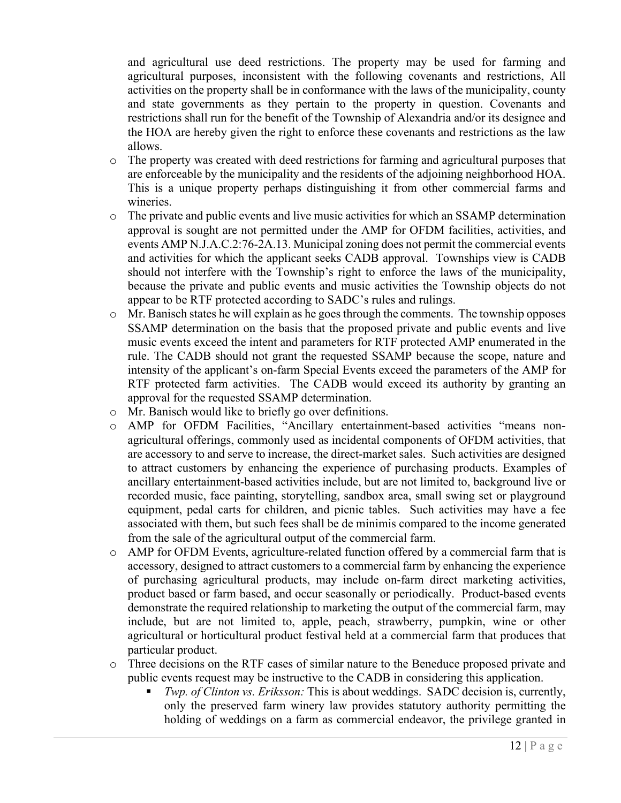and agricultural use deed restrictions. The property may be used for farming and agricultural purposes, inconsistent with the following covenants and restrictions, All activities on the property shall be in conformance with the laws of the municipality, county and state governments as they pertain to the property in question. Covenants and restrictions shall run for the benefit of the Township of Alexandria and/or its designee and the HOA are hereby given the right to enforce these covenants and restrictions as the law allows.

- o The property was created with deed restrictions for farming and agricultural purposes that are enforceable by the municipality and the residents of the adjoining neighborhood HOA. This is a unique property perhaps distinguishing it from other commercial farms and wineries.
- o The private and public events and live music activities for which an SSAMP determination approval is sought are not permitted under the AMP for OFDM facilities, activities, and events AMP N.J.A.C.2:76-2A.13. Municipal zoning does not permit the commercial events and activities for which the applicant seeks CADB approval. Townships view is CADB should not interfere with the Township's right to enforce the laws of the municipality, because the private and public events and music activities the Township objects do not appear to be RTF protected according to SADC's rules and rulings.
- $\circ$  Mr. Banisch states he will explain as he goes through the comments. The township opposes SSAMP determination on the basis that the proposed private and public events and live music events exceed the intent and parameters for RTF protected AMP enumerated in the rule. The CADB should not grant the requested SSAMP because the scope, nature and intensity of the applicant's on-farm Special Events exceed the parameters of the AMP for RTF protected farm activities. The CADB would exceed its authority by granting an approval for the requested SSAMP determination.
- o Mr. Banisch would like to briefly go over definitions.
- o AMP for OFDM Facilities, "Ancillary entertainment-based activities "means nonagricultural offerings, commonly used as incidental components of OFDM activities, that are accessory to and serve to increase, the direct-market sales. Such activities are designed to attract customers by enhancing the experience of purchasing products. Examples of ancillary entertainment-based activities include, but are not limited to, background live or recorded music, face painting, storytelling, sandbox area, small swing set or playground equipment, pedal carts for children, and picnic tables. Such activities may have a fee associated with them, but such fees shall be de minimis compared to the income generated from the sale of the agricultural output of the commercial farm.
- o AMP for OFDM Events, agriculture-related function offered by a commercial farm that is accessory, designed to attract customers to a commercial farm by enhancing the experience of purchasing agricultural products, may include on-farm direct marketing activities, product based or farm based, and occur seasonally or periodically. Product-based events demonstrate the required relationship to marketing the output of the commercial farm, may include, but are not limited to, apple, peach, strawberry, pumpkin, wine or other agricultural or horticultural product festival held at a commercial farm that produces that particular product.
- o Three decisions on the RTF cases of similar nature to the Beneduce proposed private and public events request may be instructive to the CADB in considering this application.
	- *Twp. of Clinton vs. Eriksson:* This is about weddings. SADC decision is, currently, only the preserved farm winery law provides statutory authority permitting the holding of weddings on a farm as commercial endeavor, the privilege granted in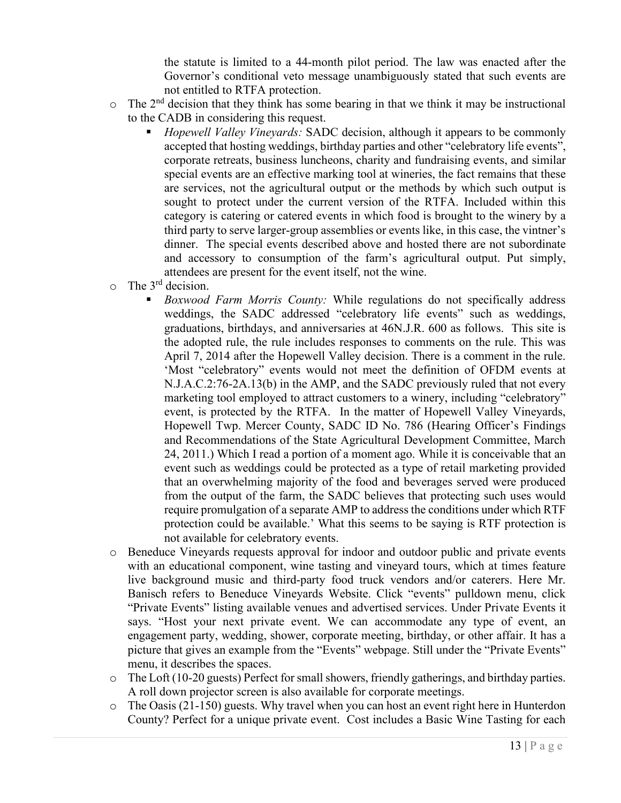the statute is limited to a 44-month pilot period. The law was enacted after the Governor's conditional veto message unambiguously stated that such events are not entitled to RTFA protection.

- $\circ$  The 2<sup>nd</sup> decision that they think has some bearing in that we think it may be instructional to the CADB in considering this request.
	- *Hopewell Valley Vineyards:* SADC decision, although it appears to be commonly accepted that hosting weddings, birthday parties and other "celebratory life events", corporate retreats, business luncheons, charity and fundraising events, and similar special events are an effective marking tool at wineries, the fact remains that these are services, not the agricultural output or the methods by which such output is sought to protect under the current version of the RTFA. Included within this category is catering or catered events in which food is brought to the winery by a third party to serve larger-group assemblies or events like, in this case, the vintner's dinner. The special events described above and hosted there are not subordinate and accessory to consumption of the farm's agricultural output. Put simply, attendees are present for the event itself, not the wine.
- $\circ$  The 3<sup>rd</sup> decision.
	- *Boxwood Farm Morris County:* While regulations do not specifically address weddings, the SADC addressed "celebratory life events" such as weddings, graduations, birthdays, and anniversaries at 46N.J.R. 600 as follows. This site is the adopted rule, the rule includes responses to comments on the rule. This was April 7, 2014 after the Hopewell Valley decision. There is a comment in the rule. 'Most "celebratory" events would not meet the definition of OFDM events at N.J.A.C.2:76-2A.13(b) in the AMP, and the SADC previously ruled that not every marketing tool employed to attract customers to a winery, including "celebratory" event, is protected by the RTFA. In the matter of Hopewell Valley Vineyards, Hopewell Twp. Mercer County, SADC ID No. 786 (Hearing Officer's Findings and Recommendations of the State Agricultural Development Committee, March 24, 2011.) Which I read a portion of a moment ago. While it is conceivable that an event such as weddings could be protected as a type of retail marketing provided that an overwhelming majority of the food and beverages served were produced from the output of the farm, the SADC believes that protecting such uses would require promulgation of a separate AMP to address the conditions under which RTF protection could be available.' What this seems to be saying is RTF protection is not available for celebratory events.
- o Beneduce Vineyards requests approval for indoor and outdoor public and private events with an educational component, wine tasting and vineyard tours, which at times feature live background music and third-party food truck vendors and/or caterers. Here Mr. Banisch refers to Beneduce Vineyards Website. Click "events" pulldown menu, click "Private Events" listing available venues and advertised services. Under Private Events it says. "Host your next private event. We can accommodate any type of event, an engagement party, wedding, shower, corporate meeting, birthday, or other affair. It has a picture that gives an example from the "Events" webpage. Still under the "Private Events" menu, it describes the spaces.
- o The Loft (10-20 guests) Perfect for small showers, friendly gatherings, and birthday parties. A roll down projector screen is also available for corporate meetings.
- o The Oasis (21-150) guests. Why travel when you can host an event right here in Hunterdon County? Perfect for a unique private event. Cost includes a Basic Wine Tasting for each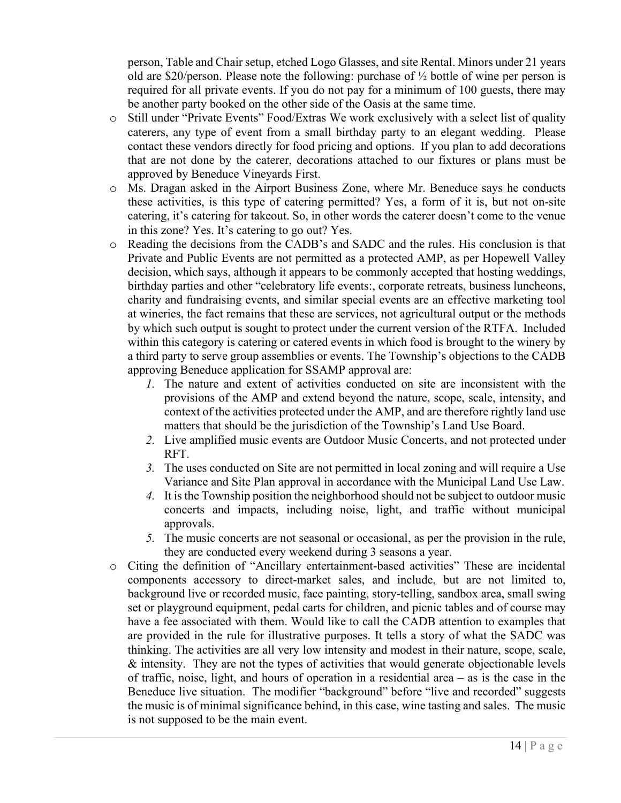person, Table and Chair setup, etched Logo Glasses, and site Rental. Minors under 21 years old are \$20/person. Please note the following: purchase of ½ bottle of wine per person is required for all private events. If you do not pay for a minimum of 100 guests, there may be another party booked on the other side of the Oasis at the same time.

- o Still under "Private Events" Food/Extras We work exclusively with a select list of quality caterers, any type of event from a small birthday party to an elegant wedding. Please contact these vendors directly for food pricing and options. If you plan to add decorations that are not done by the caterer, decorations attached to our fixtures or plans must be approved by Beneduce Vineyards First.
- o Ms. Dragan asked in the Airport Business Zone, where Mr. Beneduce says he conducts these activities, is this type of catering permitted? Yes, a form of it is, but not on-site catering, it's catering for takeout. So, in other words the caterer doesn't come to the venue in this zone? Yes. It's catering to go out? Yes.
- o Reading the decisions from the CADB's and SADC and the rules. His conclusion is that Private and Public Events are not permitted as a protected AMP, as per Hopewell Valley decision, which says, although it appears to be commonly accepted that hosting weddings, birthday parties and other "celebratory life events:, corporate retreats, business luncheons, charity and fundraising events, and similar special events are an effective marketing tool at wineries, the fact remains that these are services, not agricultural output or the methods by which such output is sought to protect under the current version of the RTFA. Included within this category is catering or catered events in which food is brought to the winery by a third party to serve group assemblies or events. The Township's objections to the CADB approving Beneduce application for SSAMP approval are:
	- *1.* The nature and extent of activities conducted on site are inconsistent with the provisions of the AMP and extend beyond the nature, scope, scale, intensity, and context of the activities protected under the AMP, and are therefore rightly land use matters that should be the jurisdiction of the Township's Land Use Board.
	- *2.* Live amplified music events are Outdoor Music Concerts, and not protected under RFT.
	- *3.* The uses conducted on Site are not permitted in local zoning and will require a Use Variance and Site Plan approval in accordance with the Municipal Land Use Law.
	- *4.* It is the Township position the neighborhood should not be subject to outdoor music concerts and impacts, including noise, light, and traffic without municipal approvals.
	- *5.* The music concerts are not seasonal or occasional, as per the provision in the rule, they are conducted every weekend during 3 seasons a year.
- o Citing the definition of "Ancillary entertainment-based activities" These are incidental components accessory to direct-market sales, and include, but are not limited to, background live or recorded music, face painting, story-telling, sandbox area, small swing set or playground equipment, pedal carts for children, and picnic tables and of course may have a fee associated with them. Would like to call the CADB attention to examples that are provided in the rule for illustrative purposes. It tells a story of what the SADC was thinking. The activities are all very low intensity and modest in their nature, scope, scale, & intensity. They are not the types of activities that would generate objectionable levels of traffic, noise, light, and hours of operation in a residential area – as is the case in the Beneduce live situation. The modifier "background" before "live and recorded" suggests the music is of minimal significance behind, in this case, wine tasting and sales. The music is not supposed to be the main event.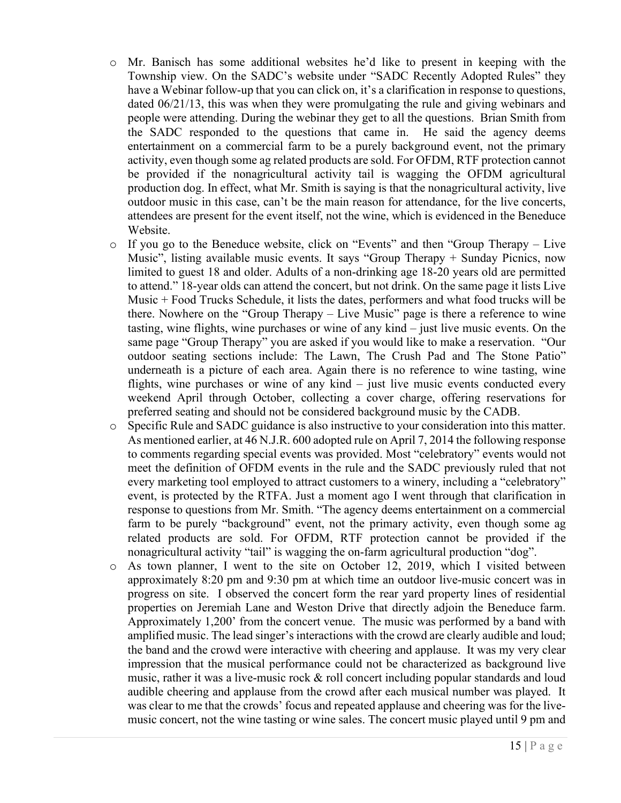- o Mr. Banisch has some additional websites he'd like to present in keeping with the Township view. On the SADC's website under "SADC Recently Adopted Rules" they have a Webinar follow-up that you can click on, it's a clarification in response to questions, dated 06/21/13, this was when they were promulgating the rule and giving webinars and people were attending. During the webinar they get to all the questions. Brian Smith from the SADC responded to the questions that came in. He said the agency deems entertainment on a commercial farm to be a purely background event, not the primary activity, even though some ag related products are sold. For OFDM, RTF protection cannot be provided if the nonagricultural activity tail is wagging the OFDM agricultural production dog. In effect, what Mr. Smith is saying is that the nonagricultural activity, live outdoor music in this case, can't be the main reason for attendance, for the live concerts, attendees are present for the event itself, not the wine, which is evidenced in the Beneduce Website.
- o If you go to the Beneduce website, click on "Events" and then "Group Therapy Live Music", listing available music events. It says "Group Therapy + Sunday Picnics, now limited to guest 18 and older. Adults of a non-drinking age 18-20 years old are permitted to attend." 18-year olds can attend the concert, but not drink. On the same page it lists Live Music + Food Trucks Schedule, it lists the dates, performers and what food trucks will be there. Nowhere on the "Group Therapy – Live Music" page is there a reference to wine tasting, wine flights, wine purchases or wine of any kind – just live music events. On the same page "Group Therapy" you are asked if you would like to make a reservation. "Our outdoor seating sections include: The Lawn, The Crush Pad and The Stone Patio" underneath is a picture of each area. Again there is no reference to wine tasting, wine flights, wine purchases or wine of any kind – just live music events conducted every weekend April through October, collecting a cover charge, offering reservations for preferred seating and should not be considered background music by the CADB.
- o Specific Rule and SADC guidance is also instructive to your consideration into this matter. As mentioned earlier, at 46 N.J.R. 600 adopted rule on April 7, 2014 the following response to comments regarding special events was provided. Most "celebratory" events would not meet the definition of OFDM events in the rule and the SADC previously ruled that not every marketing tool employed to attract customers to a winery, including a "celebratory" event, is protected by the RTFA. Just a moment ago I went through that clarification in response to questions from Mr. Smith. "The agency deems entertainment on a commercial farm to be purely "background" event, not the primary activity, even though some ag related products are sold. For OFDM, RTF protection cannot be provided if the nonagricultural activity "tail" is wagging the on-farm agricultural production "dog".
- o As town planner, I went to the site on October 12, 2019, which I visited between approximately 8:20 pm and 9:30 pm at which time an outdoor live-music concert was in progress on site. I observed the concert form the rear yard property lines of residential properties on Jeremiah Lane and Weston Drive that directly adjoin the Beneduce farm. Approximately 1,200' from the concert venue. The music was performed by a band with amplified music. The lead singer's interactions with the crowd are clearly audible and loud; the band and the crowd were interactive with cheering and applause. It was my very clear impression that the musical performance could not be characterized as background live music, rather it was a live-music rock  $\&$  roll concert including popular standards and loud audible cheering and applause from the crowd after each musical number was played. It was clear to me that the crowds' focus and repeated applause and cheering was for the livemusic concert, not the wine tasting or wine sales. The concert music played until 9 pm and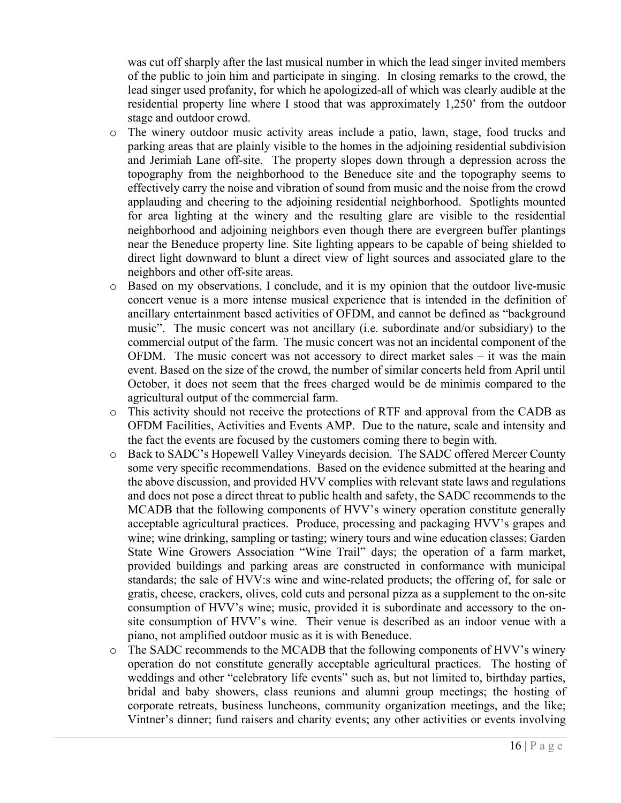was cut off sharply after the last musical number in which the lead singer invited members of the public to join him and participate in singing. In closing remarks to the crowd, the lead singer used profanity, for which he apologized-all of which was clearly audible at the residential property line where I stood that was approximately 1,250' from the outdoor stage and outdoor crowd.

- o The winery outdoor music activity areas include a patio, lawn, stage, food trucks and parking areas that are plainly visible to the homes in the adjoining residential subdivision and Jerimiah Lane off-site. The property slopes down through a depression across the topography from the neighborhood to the Beneduce site and the topography seems to effectively carry the noise and vibration of sound from music and the noise from the crowd applauding and cheering to the adjoining residential neighborhood. Spotlights mounted for area lighting at the winery and the resulting glare are visible to the residential neighborhood and adjoining neighbors even though there are evergreen buffer plantings near the Beneduce property line. Site lighting appears to be capable of being shielded to direct light downward to blunt a direct view of light sources and associated glare to the neighbors and other off-site areas.
- o Based on my observations, I conclude, and it is my opinion that the outdoor live-music concert venue is a more intense musical experience that is intended in the definition of ancillary entertainment based activities of OFDM, and cannot be defined as "background music". The music concert was not ancillary (i.e. subordinate and/or subsidiary) to the commercial output of the farm. The music concert was not an incidental component of the OFDM. The music concert was not accessory to direct market sales – it was the main event. Based on the size of the crowd, the number of similar concerts held from April until October, it does not seem that the frees charged would be de minimis compared to the agricultural output of the commercial farm.
- o This activity should not receive the protections of RTF and approval from the CADB as OFDM Facilities, Activities and Events AMP. Due to the nature, scale and intensity and the fact the events are focused by the customers coming there to begin with.
- o Back to SADC's Hopewell Valley Vineyards decision. The SADC offered Mercer County some very specific recommendations. Based on the evidence submitted at the hearing and the above discussion, and provided HVV complies with relevant state laws and regulations and does not pose a direct threat to public health and safety, the SADC recommends to the MCADB that the following components of HVV's winery operation constitute generally acceptable agricultural practices. Produce, processing and packaging HVV's grapes and wine; wine drinking, sampling or tasting; winery tours and wine education classes; Garden State Wine Growers Association "Wine Trail" days; the operation of a farm market, provided buildings and parking areas are constructed in conformance with municipal standards; the sale of HVV:s wine and wine-related products; the offering of, for sale or gratis, cheese, crackers, olives, cold cuts and personal pizza as a supplement to the on-site consumption of HVV's wine; music, provided it is subordinate and accessory to the onsite consumption of HVV's wine. Their venue is described as an indoor venue with a piano, not amplified outdoor music as it is with Beneduce.
- o The SADC recommends to the MCADB that the following components of HVV's winery operation do not constitute generally acceptable agricultural practices. The hosting of weddings and other "celebratory life events" such as, but not limited to, birthday parties, bridal and baby showers, class reunions and alumni group meetings; the hosting of corporate retreats, business luncheons, community organization meetings, and the like; Vintner's dinner; fund raisers and charity events; any other activities or events involving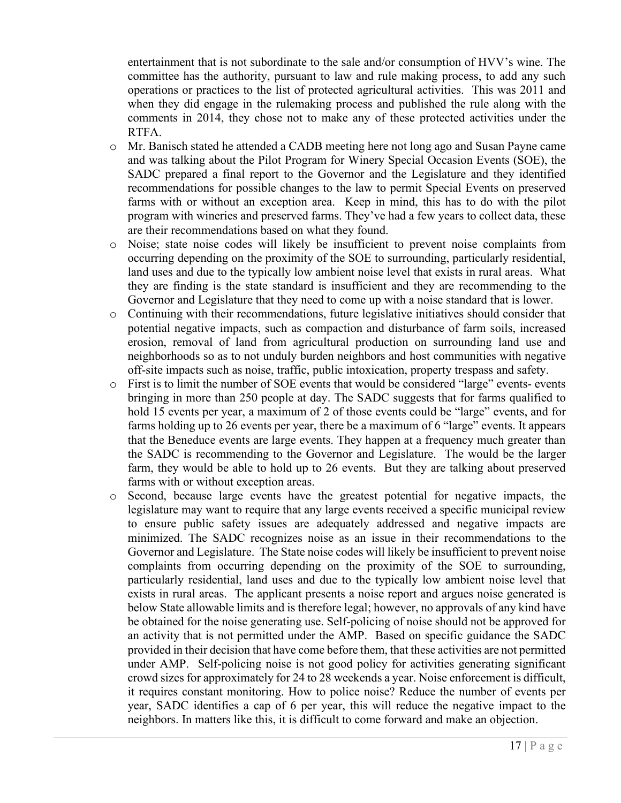entertainment that is not subordinate to the sale and/or consumption of HVV's wine. The committee has the authority, pursuant to law and rule making process, to add any such operations or practices to the list of protected agricultural activities. This was 2011 and when they did engage in the rulemaking process and published the rule along with the comments in 2014, they chose not to make any of these protected activities under the RTFA.

- o Mr. Banisch stated he attended a CADB meeting here not long ago and Susan Payne came and was talking about the Pilot Program for Winery Special Occasion Events (SOE), the SADC prepared a final report to the Governor and the Legislature and they identified recommendations for possible changes to the law to permit Special Events on preserved farms with or without an exception area. Keep in mind, this has to do with the pilot program with wineries and preserved farms. They've had a few years to collect data, these are their recommendations based on what they found.
- o Noise; state noise codes will likely be insufficient to prevent noise complaints from occurring depending on the proximity of the SOE to surrounding, particularly residential, land uses and due to the typically low ambient noise level that exists in rural areas. What they are finding is the state standard is insufficient and they are recommending to the Governor and Legislature that they need to come up with a noise standard that is lower.
- o Continuing with their recommendations, future legislative initiatives should consider that potential negative impacts, such as compaction and disturbance of farm soils, increased erosion, removal of land from agricultural production on surrounding land use and neighborhoods so as to not unduly burden neighbors and host communities with negative off-site impacts such as noise, traffic, public intoxication, property trespass and safety.
- o First is to limit the number of SOE events that would be considered "large" events- events bringing in more than 250 people at day. The SADC suggests that for farms qualified to hold 15 events per year, a maximum of 2 of those events could be "large" events, and for farms holding up to 26 events per year, there be a maximum of 6 "large" events. It appears that the Beneduce events are large events. They happen at a frequency much greater than the SADC is recommending to the Governor and Legislature. The would be the larger farm, they would be able to hold up to 26 events. But they are talking about preserved farms with or without exception areas.
- o Second, because large events have the greatest potential for negative impacts, the legislature may want to require that any large events received a specific municipal review to ensure public safety issues are adequately addressed and negative impacts are minimized. The SADC recognizes noise as an issue in their recommendations to the Governor and Legislature. The State noise codes will likely be insufficient to prevent noise complaints from occurring depending on the proximity of the SOE to surrounding, particularly residential, land uses and due to the typically low ambient noise level that exists in rural areas. The applicant presents a noise report and argues noise generated is below State allowable limits and is therefore legal; however, no approvals of any kind have be obtained for the noise generating use. Self-policing of noise should not be approved for an activity that is not permitted under the AMP. Based on specific guidance the SADC provided in their decision that have come before them, that these activities are not permitted under AMP. Self-policing noise is not good policy for activities generating significant crowd sizes for approximately for 24 to 28 weekends a year. Noise enforcement is difficult, it requires constant monitoring. How to police noise? Reduce the number of events per year, SADC identifies a cap of 6 per year, this will reduce the negative impact to the neighbors. In matters like this, it is difficult to come forward and make an objection.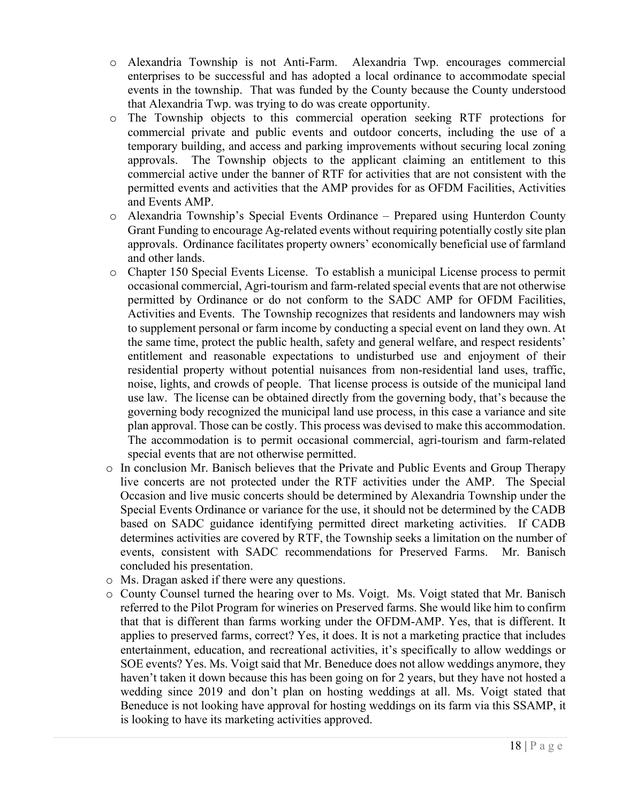- o Alexandria Township is not Anti-Farm. Alexandria Twp. encourages commercial enterprises to be successful and has adopted a local ordinance to accommodate special events in the township. That was funded by the County because the County understood that Alexandria Twp. was trying to do was create opportunity.
- o The Township objects to this commercial operation seeking RTF protections for commercial private and public events and outdoor concerts, including the use of a temporary building, and access and parking improvements without securing local zoning approvals. The Township objects to the applicant claiming an entitlement to this commercial active under the banner of RTF for activities that are not consistent with the permitted events and activities that the AMP provides for as OFDM Facilities, Activities and Events AMP.
- o Alexandria Township's Special Events Ordinance Prepared using Hunterdon County Grant Funding to encourage Ag-related events without requiring potentially costly site plan approvals. Ordinance facilitates property owners' economically beneficial use of farmland and other lands.
- o Chapter 150 Special Events License. To establish a municipal License process to permit occasional commercial, Agri-tourism and farm-related special events that are not otherwise permitted by Ordinance or do not conform to the SADC AMP for OFDM Facilities, Activities and Events. The Township recognizes that residents and landowners may wish to supplement personal or farm income by conducting a special event on land they own. At the same time, protect the public health, safety and general welfare, and respect residents' entitlement and reasonable expectations to undisturbed use and enjoyment of their residential property without potential nuisances from non-residential land uses, traffic, noise, lights, and crowds of people. That license process is outside of the municipal land use law. The license can be obtained directly from the governing body, that's because the governing body recognized the municipal land use process, in this case a variance and site plan approval. Those can be costly. This process was devised to make this accommodation. The accommodation is to permit occasional commercial, agri-tourism and farm-related special events that are not otherwise permitted.
- o In conclusion Mr. Banisch believes that the Private and Public Events and Group Therapy live concerts are not protected under the RTF activities under the AMP. The Special Occasion and live music concerts should be determined by Alexandria Township under the Special Events Ordinance or variance for the use, it should not be determined by the CADB based on SADC guidance identifying permitted direct marketing activities. If CADB determines activities are covered by RTF, the Township seeks a limitation on the number of events, consistent with SADC recommendations for Preserved Farms. Mr. Banisch concluded his presentation.
- o Ms. Dragan asked if there were any questions.
- o County Counsel turned the hearing over to Ms. Voigt. Ms. Voigt stated that Mr. Banisch referred to the Pilot Program for wineries on Preserved farms. She would like him to confirm that that is different than farms working under the OFDM-AMP. Yes, that is different. It applies to preserved farms, correct? Yes, it does. It is not a marketing practice that includes entertainment, education, and recreational activities, it's specifically to allow weddings or SOE events? Yes. Ms. Voigt said that Mr. Beneduce does not allow weddings anymore, they haven't taken it down because this has been going on for 2 years, but they have not hosted a wedding since 2019 and don't plan on hosting weddings at all. Ms. Voigt stated that Beneduce is not looking have approval for hosting weddings on its farm via this SSAMP, it is looking to have its marketing activities approved.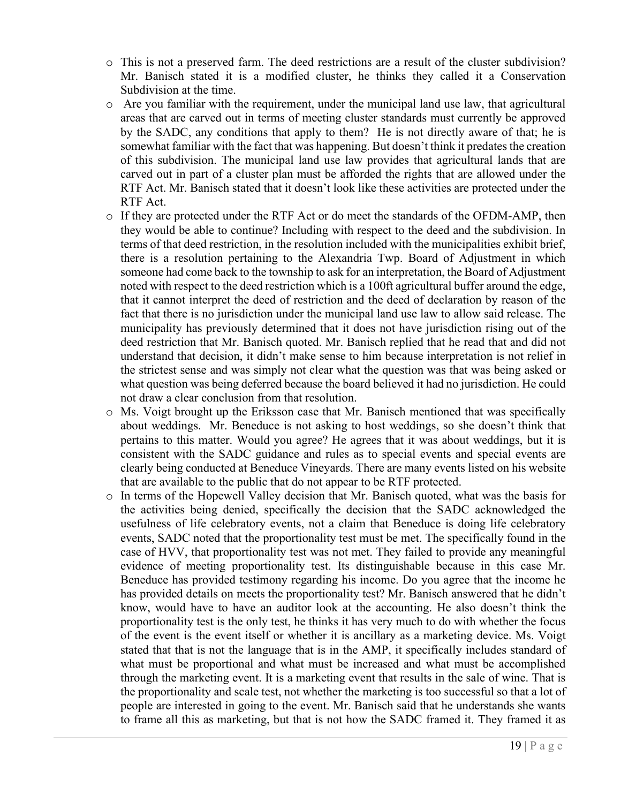- o This is not a preserved farm. The deed restrictions are a result of the cluster subdivision? Mr. Banisch stated it is a modified cluster, he thinks they called it a Conservation Subdivision at the time.
- $\circ$  Are you familiar with the requirement, under the municipal land use law, that agricultural areas that are carved out in terms of meeting cluster standards must currently be approved by the SADC, any conditions that apply to them? He is not directly aware of that; he is somewhat familiar with the fact that was happening. But doesn't think it predates the creation of this subdivision. The municipal land use law provides that agricultural lands that are carved out in part of a cluster plan must be afforded the rights that are allowed under the RTF Act. Mr. Banisch stated that it doesn't look like these activities are protected under the RTF Act.
- $\circ$  If they are protected under the RTF Act or do meet the standards of the OFDM-AMP, then they would be able to continue? Including with respect to the deed and the subdivision. In terms of that deed restriction, in the resolution included with the municipalities exhibit brief, there is a resolution pertaining to the Alexandria Twp. Board of Adjustment in which someone had come back to the township to ask for an interpretation, the Board of Adjustment noted with respect to the deed restriction which is a 100ft agricultural buffer around the edge, that it cannot interpret the deed of restriction and the deed of declaration by reason of the fact that there is no jurisdiction under the municipal land use law to allow said release. The municipality has previously determined that it does not have jurisdiction rising out of the deed restriction that Mr. Banisch quoted. Mr. Banisch replied that he read that and did not understand that decision, it didn't make sense to him because interpretation is not relief in the strictest sense and was simply not clear what the question was that was being asked or what question was being deferred because the board believed it had no jurisdiction. He could not draw a clear conclusion from that resolution.
- o Ms. Voigt brought up the Eriksson case that Mr. Banisch mentioned that was specifically about weddings. Mr. Beneduce is not asking to host weddings, so she doesn't think that pertains to this matter. Would you agree? He agrees that it was about weddings, but it is consistent with the SADC guidance and rules as to special events and special events are clearly being conducted at Beneduce Vineyards. There are many events listed on his website that are available to the public that do not appear to be RTF protected.
- o In terms of the Hopewell Valley decision that Mr. Banisch quoted, what was the basis for the activities being denied, specifically the decision that the SADC acknowledged the usefulness of life celebratory events, not a claim that Beneduce is doing life celebratory events, SADC noted that the proportionality test must be met. The specifically found in the case of HVV, that proportionality test was not met. They failed to provide any meaningful evidence of meeting proportionality test. Its distinguishable because in this case Mr. Beneduce has provided testimony regarding his income. Do you agree that the income he has provided details on meets the proportionality test? Mr. Banisch answered that he didn't know, would have to have an auditor look at the accounting. He also doesn't think the proportionality test is the only test, he thinks it has very much to do with whether the focus of the event is the event itself or whether it is ancillary as a marketing device. Ms. Voigt stated that that is not the language that is in the AMP, it specifically includes standard of what must be proportional and what must be increased and what must be accomplished through the marketing event. It is a marketing event that results in the sale of wine. That is the proportionality and scale test, not whether the marketing is too successful so that a lot of people are interested in going to the event. Mr. Banisch said that he understands she wants to frame all this as marketing, but that is not how the SADC framed it. They framed it as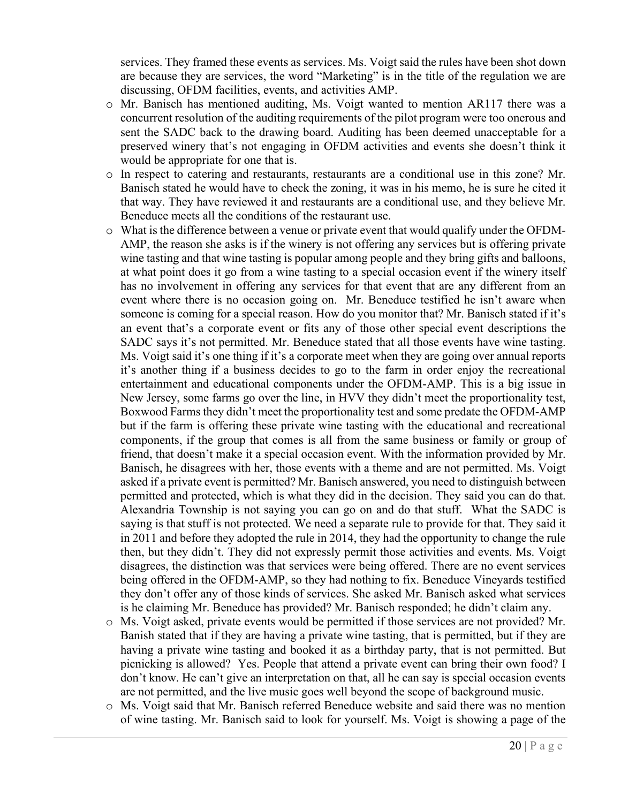services. They framed these events as services. Ms. Voigt said the rules have been shot down are because they are services, the word "Marketing" is in the title of the regulation we are discussing, OFDM facilities, events, and activities AMP.

- o Mr. Banisch has mentioned auditing, Ms. Voigt wanted to mention AR117 there was a concurrent resolution of the auditing requirements of the pilot program were too onerous and sent the SADC back to the drawing board. Auditing has been deemed unacceptable for a preserved winery that's not engaging in OFDM activities and events she doesn't think it would be appropriate for one that is.
- o In respect to catering and restaurants, restaurants are a conditional use in this zone? Mr. Banisch stated he would have to check the zoning, it was in his memo, he is sure he cited it that way. They have reviewed it and restaurants are a conditional use, and they believe Mr. Beneduce meets all the conditions of the restaurant use.
- o What is the difference between a venue or private event that would qualify under the OFDM-AMP, the reason she asks is if the winery is not offering any services but is offering private wine tasting and that wine tasting is popular among people and they bring gifts and balloons, at what point does it go from a wine tasting to a special occasion event if the winery itself has no involvement in offering any services for that event that are any different from an event where there is no occasion going on. Mr. Beneduce testified he isn't aware when someone is coming for a special reason. How do you monitor that? Mr. Banisch stated if it's an event that's a corporate event or fits any of those other special event descriptions the SADC says it's not permitted. Mr. Beneduce stated that all those events have wine tasting. Ms. Voigt said it's one thing if it's a corporate meet when they are going over annual reports it's another thing if a business decides to go to the farm in order enjoy the recreational entertainment and educational components under the OFDM-AMP. This is a big issue in New Jersey, some farms go over the line, in HVV they didn't meet the proportionality test, Boxwood Farms they didn't meet the proportionality test and some predate the OFDM-AMP but if the farm is offering these private wine tasting with the educational and recreational components, if the group that comes is all from the same business or family or group of friend, that doesn't make it a special occasion event. With the information provided by Mr. Banisch, he disagrees with her, those events with a theme and are not permitted. Ms. Voigt asked if a private event is permitted? Mr. Banisch answered, you need to distinguish between permitted and protected, which is what they did in the decision. They said you can do that. Alexandria Township is not saying you can go on and do that stuff. What the SADC is saying is that stuff is not protected. We need a separate rule to provide for that. They said it in 2011 and before they adopted the rule in 2014, they had the opportunity to change the rule then, but they didn't. They did not expressly permit those activities and events. Ms. Voigt disagrees, the distinction was that services were being offered. There are no event services being offered in the OFDM-AMP, so they had nothing to fix. Beneduce Vineyards testified they don't offer any of those kinds of services. She asked Mr. Banisch asked what services is he claiming Mr. Beneduce has provided? Mr. Banisch responded; he didn't claim any.
- o Ms. Voigt asked, private events would be permitted if those services are not provided? Mr. Banish stated that if they are having a private wine tasting, that is permitted, but if they are having a private wine tasting and booked it as a birthday party, that is not permitted. But picnicking is allowed? Yes. People that attend a private event can bring their own food? I don't know. He can't give an interpretation on that, all he can say is special occasion events are not permitted, and the live music goes well beyond the scope of background music.
- o Ms. Voigt said that Mr. Banisch referred Beneduce website and said there was no mention of wine tasting. Mr. Banisch said to look for yourself. Ms. Voigt is showing a page of the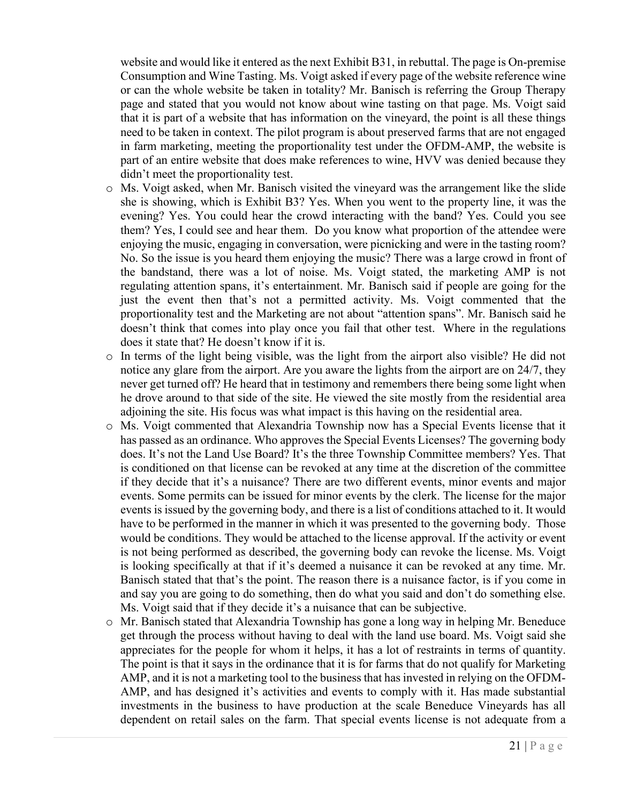website and would like it entered as the next Exhibit B31, in rebuttal. The page is On-premise Consumption and Wine Tasting. Ms. Voigt asked if every page of the website reference wine or can the whole website be taken in totality? Mr. Banisch is referring the Group Therapy page and stated that you would not know about wine tasting on that page. Ms. Voigt said that it is part of a website that has information on the vineyard, the point is all these things need to be taken in context. The pilot program is about preserved farms that are not engaged in farm marketing, meeting the proportionality test under the OFDM-AMP, the website is part of an entire website that does make references to wine, HVV was denied because they didn't meet the proportionality test.

- o Ms. Voigt asked, when Mr. Banisch visited the vineyard was the arrangement like the slide she is showing, which is Exhibit B3? Yes. When you went to the property line, it was the evening? Yes. You could hear the crowd interacting with the band? Yes. Could you see them? Yes, I could see and hear them. Do you know what proportion of the attendee were enjoying the music, engaging in conversation, were picnicking and were in the tasting room? No. So the issue is you heard them enjoying the music? There was a large crowd in front of the bandstand, there was a lot of noise. Ms. Voigt stated, the marketing AMP is not regulating attention spans, it's entertainment. Mr. Banisch said if people are going for the just the event then that's not a permitted activity. Ms. Voigt commented that the proportionality test and the Marketing are not about "attention spans". Mr. Banisch said he doesn't think that comes into play once you fail that other test. Where in the regulations does it state that? He doesn't know if it is.
- o In terms of the light being visible, was the light from the airport also visible? He did not notice any glare from the airport. Are you aware the lights from the airport are on 24/7, they never get turned off? He heard that in testimony and remembers there being some light when he drove around to that side of the site. He viewed the site mostly from the residential area adjoining the site. His focus was what impact is this having on the residential area.
- o Ms. Voigt commented that Alexandria Township now has a Special Events license that it has passed as an ordinance. Who approves the Special Events Licenses? The governing body does. It's not the Land Use Board? It's the three Township Committee members? Yes. That is conditioned on that license can be revoked at any time at the discretion of the committee if they decide that it's a nuisance? There are two different events, minor events and major events. Some permits can be issued for minor events by the clerk. The license for the major events is issued by the governing body, and there is a list of conditions attached to it. It would have to be performed in the manner in which it was presented to the governing body. Those would be conditions. They would be attached to the license approval. If the activity or event is not being performed as described, the governing body can revoke the license. Ms. Voigt is looking specifically at that if it's deemed a nuisance it can be revoked at any time. Mr. Banisch stated that that's the point. The reason there is a nuisance factor, is if you come in and say you are going to do something, then do what you said and don't do something else. Ms. Voigt said that if they decide it's a nuisance that can be subjective.
- o Mr. Banisch stated that Alexandria Township has gone a long way in helping Mr. Beneduce get through the process without having to deal with the land use board. Ms. Voigt said she appreciates for the people for whom it helps, it has a lot of restraints in terms of quantity. The point is that it says in the ordinance that it is for farms that do not qualify for Marketing AMP, and it is not a marketing tool to the business that has invested in relying on the OFDM-AMP, and has designed it's activities and events to comply with it. Has made substantial investments in the business to have production at the scale Beneduce Vineyards has all dependent on retail sales on the farm. That special events license is not adequate from a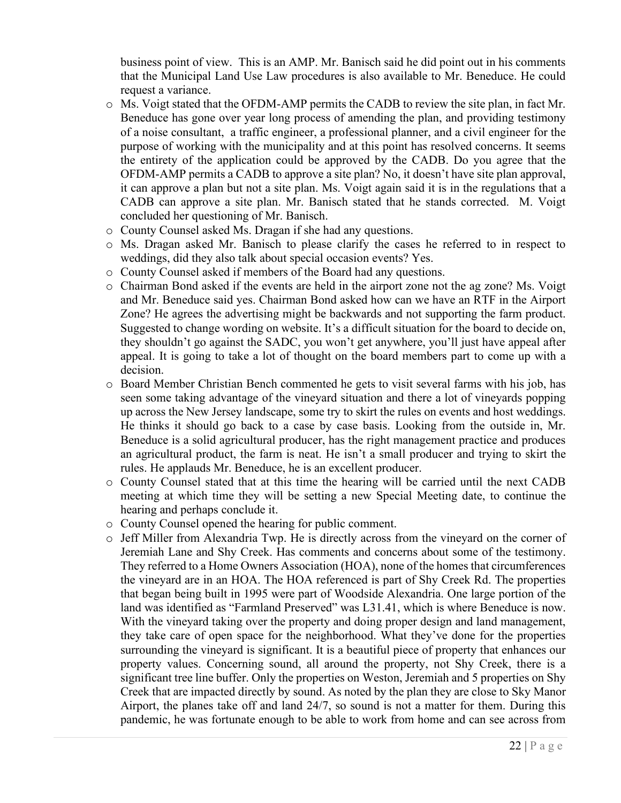business point of view. This is an AMP. Mr. Banisch said he did point out in his comments that the Municipal Land Use Law procedures is also available to Mr. Beneduce. He could request a variance.

- $\circ$  Ms. Voigt stated that the OFDM-AMP permits the CADB to review the site plan, in fact Mr. Beneduce has gone over year long process of amending the plan, and providing testimony of a noise consultant, a traffic engineer, a professional planner, and a civil engineer for the purpose of working with the municipality and at this point has resolved concerns. It seems the entirety of the application could be approved by the CADB. Do you agree that the OFDM-AMP permits a CADB to approve a site plan? No, it doesn't have site plan approval, it can approve a plan but not a site plan. Ms. Voigt again said it is in the regulations that a CADB can approve a site plan. Mr. Banisch stated that he stands corrected. M. Voigt concluded her questioning of Mr. Banisch.
- o County Counsel asked Ms. Dragan if she had any questions.
- o Ms. Dragan asked Mr. Banisch to please clarify the cases he referred to in respect to weddings, did they also talk about special occasion events? Yes.
- o County Counsel asked if members of the Board had any questions.
- o Chairman Bond asked if the events are held in the airport zone not the ag zone? Ms. Voigt and Mr. Beneduce said yes. Chairman Bond asked how can we have an RTF in the Airport Zone? He agrees the advertising might be backwards and not supporting the farm product. Suggested to change wording on website. It's a difficult situation for the board to decide on, they shouldn't go against the SADC, you won't get anywhere, you'll just have appeal after appeal. It is going to take a lot of thought on the board members part to come up with a decision.
- o Board Member Christian Bench commented he gets to visit several farms with his job, has seen some taking advantage of the vineyard situation and there a lot of vineyards popping up across the New Jersey landscape, some try to skirt the rules on events and host weddings. He thinks it should go back to a case by case basis. Looking from the outside in, Mr. Beneduce is a solid agricultural producer, has the right management practice and produces an agricultural product, the farm is neat. He isn't a small producer and trying to skirt the rules. He applauds Mr. Beneduce, he is an excellent producer.
- o County Counsel stated that at this time the hearing will be carried until the next CADB meeting at which time they will be setting a new Special Meeting date, to continue the hearing and perhaps conclude it.
- o County Counsel opened the hearing for public comment.
- o Jeff Miller from Alexandria Twp. He is directly across from the vineyard on the corner of Jeremiah Lane and Shy Creek. Has comments and concerns about some of the testimony. They referred to a Home Owners Association (HOA), none of the homes that circumferences the vineyard are in an HOA. The HOA referenced is part of Shy Creek Rd. The properties that began being built in 1995 were part of Woodside Alexandria. One large portion of the land was identified as "Farmland Preserved" was L31.41, which is where Beneduce is now. With the vineyard taking over the property and doing proper design and land management, they take care of open space for the neighborhood. What they've done for the properties surrounding the vineyard is significant. It is a beautiful piece of property that enhances our property values. Concerning sound, all around the property, not Shy Creek, there is a significant tree line buffer. Only the properties on Weston, Jeremiah and 5 properties on Shy Creek that are impacted directly by sound. As noted by the plan they are close to Sky Manor Airport, the planes take off and land 24/7, so sound is not a matter for them. During this pandemic, he was fortunate enough to be able to work from home and can see across from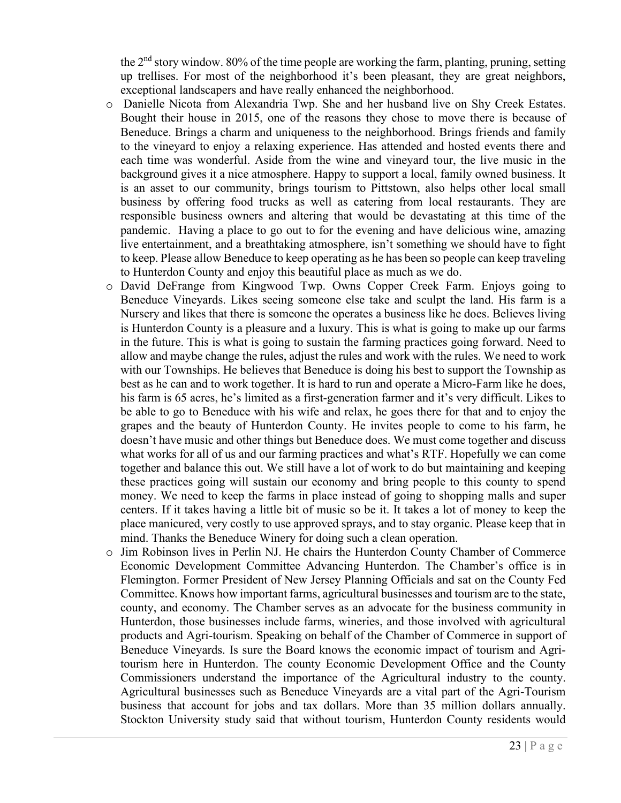the  $2<sup>nd</sup>$  story window. 80% of the time people are working the farm, planting, pruning, setting up trellises. For most of the neighborhood it's been pleasant, they are great neighbors, exceptional landscapers and have really enhanced the neighborhood.

- o Danielle Nicota from Alexandria Twp. She and her husband live on Shy Creek Estates. Bought their house in 2015, one of the reasons they chose to move there is because of Beneduce. Brings a charm and uniqueness to the neighborhood. Brings friends and family to the vineyard to enjoy a relaxing experience. Has attended and hosted events there and each time was wonderful. Aside from the wine and vineyard tour, the live music in the background gives it a nice atmosphere. Happy to support a local, family owned business. It is an asset to our community, brings tourism to Pittstown, also helps other local small business by offering food trucks as well as catering from local restaurants. They are responsible business owners and altering that would be devastating at this time of the pandemic. Having a place to go out to for the evening and have delicious wine, amazing live entertainment, and a breathtaking atmosphere, isn't something we should have to fight to keep. Please allow Beneduce to keep operating as he has been so people can keep traveling to Hunterdon County and enjoy this beautiful place as much as we do.
- o David DeFrange from Kingwood Twp. Owns Copper Creek Farm. Enjoys going to Beneduce Vineyards. Likes seeing someone else take and sculpt the land. His farm is a Nursery and likes that there is someone the operates a business like he does. Believes living is Hunterdon County is a pleasure and a luxury. This is what is going to make up our farms in the future. This is what is going to sustain the farming practices going forward. Need to allow and maybe change the rules, adjust the rules and work with the rules. We need to work with our Townships. He believes that Beneduce is doing his best to support the Township as best as he can and to work together. It is hard to run and operate a Micro-Farm like he does, his farm is 65 acres, he's limited as a first-generation farmer and it's very difficult. Likes to be able to go to Beneduce with his wife and relax, he goes there for that and to enjoy the grapes and the beauty of Hunterdon County. He invites people to come to his farm, he doesn't have music and other things but Beneduce does. We must come together and discuss what works for all of us and our farming practices and what's RTF. Hopefully we can come together and balance this out. We still have a lot of work to do but maintaining and keeping these practices going will sustain our economy and bring people to this county to spend money. We need to keep the farms in place instead of going to shopping malls and super centers. If it takes having a little bit of music so be it. It takes a lot of money to keep the place manicured, very costly to use approved sprays, and to stay organic. Please keep that in mind. Thanks the Beneduce Winery for doing such a clean operation.
- o Jim Robinson lives in Perlin NJ. He chairs the Hunterdon County Chamber of Commerce Economic Development Committee Advancing Hunterdon. The Chamber's office is in Flemington. Former President of New Jersey Planning Officials and sat on the County Fed Committee. Knows how important farms, agricultural businesses and tourism are to the state, county, and economy. The Chamber serves as an advocate for the business community in Hunterdon, those businesses include farms, wineries, and those involved with agricultural products and Agri-tourism. Speaking on behalf of the Chamber of Commerce in support of Beneduce Vineyards. Is sure the Board knows the economic impact of tourism and Agritourism here in Hunterdon. The county Economic Development Office and the County Commissioners understand the importance of the Agricultural industry to the county. Agricultural businesses such as Beneduce Vineyards are a vital part of the Agri-Tourism business that account for jobs and tax dollars. More than 35 million dollars annually. Stockton University study said that without tourism, Hunterdon County residents would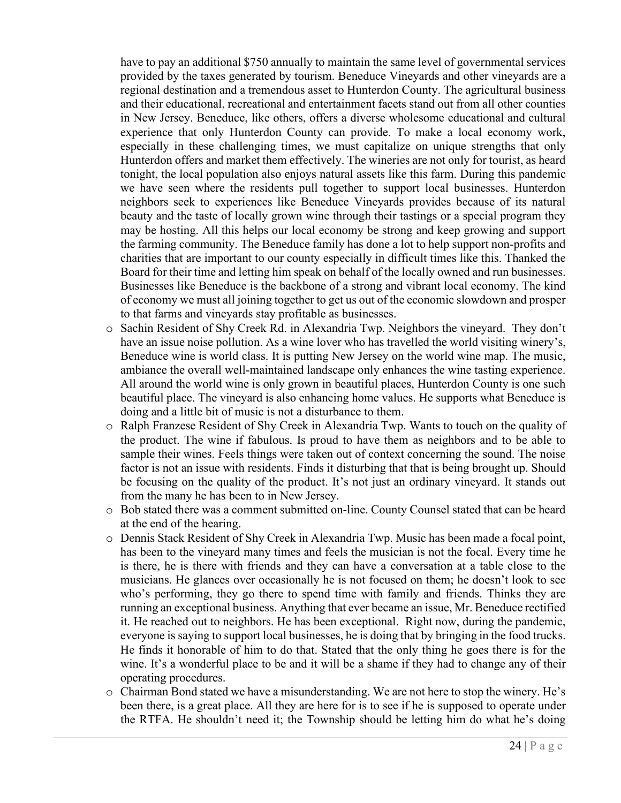have to pay an additional \$750 annually to maintain the same level of governmental services provided by the taxes generated by tourism. Beneduce Vineyards and other vineyards are a regional destination and a tremendous asset to Hunterdon County. The agricultural business and their educational, recreational and entertainment facets stand out from all other counties in New Jersey. Beneduce, like others, offers a diverse wholesome educational and cultural experience that only Hunterdon County can provide. To make a local economy work, especially in these challenging times, we must capitalize on unique strengths that only Hunterdon offers and market them effectively. The wineries are not only for tourist, as heard tonight, the local population also enjoys natural assets like this farm. During this pandemic we have seen where the residents pull together to support local businesses. Hunterdon neighbors seek to experiences like Beneduce Vineyards provides because of its natural beauty and the taste of locally grown wine through their tastings or a special program they may be hosting. All this helps our local economy be strong and keep growing and support the farming community. The Beneduce family has done a lot to help support non-profits and charities that are important to our county especially in difficult times like this. Thanked the Board for their time and letting him speak on behalf of the locally owned and run businesses. Businesses like Beneduce is the backbone of a strong and vibrant local economy. The kind of economy we must all joining together to get us out of the economic slowdown and prosper to that farms and vineyards stay profitable as businesses.

- o Sachin Resident of Shy Creek Rd. in Alexandria Twp. Neighbors the vineyard. They don't have an issue noise pollution. As a wine lover who has travelled the world visiting winery's, Beneduce wine is world class. It is putting New Jersey on the world wine map. The music, ambiance the overall well-maintained landscape only enhances the wine tasting experience. All around the world wine is only grown in beautiful places, Hunterdon County is one such beautiful place. The vineyard is also enhancing home values. He supports what Beneduce is doing and a little bit of music is not a disturbance to them.
- o Ralph Franzese Resident of Shy Creek in Alexandria Twp. Wants to touch on the quality of the product. The wine if fabulous. Is proud to have them as neighbors and to be able to sample their wines. Feels things were taken out of context concerning the sound. The noise factor is not an issue with residents. Finds it disturbing that that is being brought up. Should be focusing on the quality of the product. It's not just an ordinary vineyard. It stands out from the many he has been to in New Jersey.
- o Bob stated there was a comment submitted on-line. County Counsel stated that can be heard at the end of the hearing.
- o Dennis Stack Resident of Shy Creek in Alexandria Twp. Music has been made a focal point, has been to the vineyard many times and feels the musician is not the focal. Every time he is there, he is there with friends and they can have a conversation at a table close to the musicians. He glances over occasionally he is not focused on them; he doesn't look to see who's performing, they go there to spend time with family and friends. Thinks they are running an exceptional business. Anything that ever became an issue, Mr. Beneduce rectified it. He reached out to neighbors. He has been exceptional. Right now, during the pandemic, everyone is saying to support local businesses, he is doing that by bringing in the food trucks. He finds it honorable of him to do that. Stated that the only thing he goes there is for the wine. It's a wonderful place to be and it will be a shame if they had to change any of their operating procedures.
- o Chairman Bond stated we have a misunderstanding. We are not here to stop the winery. He's been there, is a great place. All they are here for is to see if he is supposed to operate under the RTFA. He shouldn't need it; the Township should be letting him do what he's doing